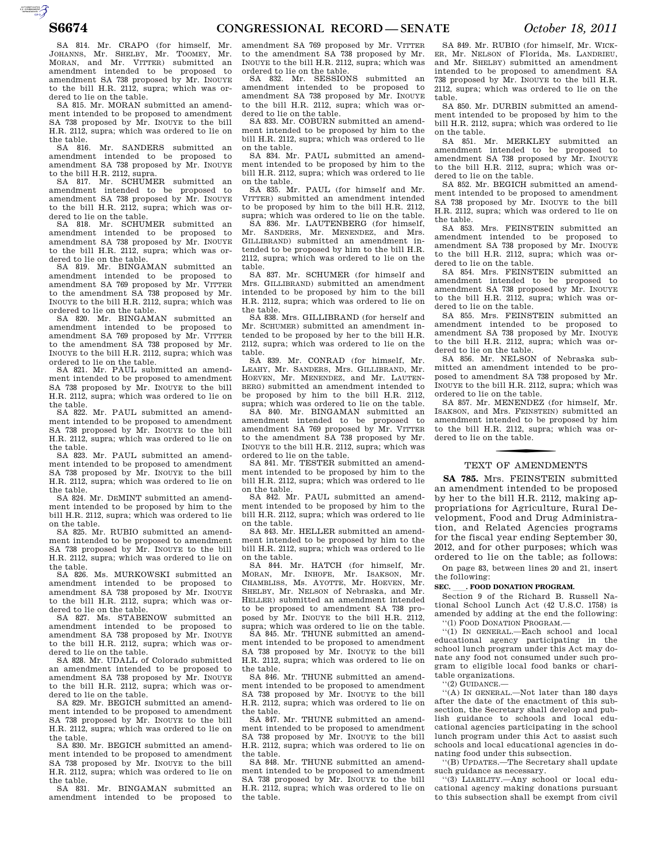$\overbrace{~~}^{\text{harmonic} \atop \text{non-convex}}_{\text{non-convex}}$ 

SA 814. Mr. CRAPO (for himself, Mr. JOHANNS, Mr. SHELBY, Mr. TOOMEY, Mr. MORAN, and Mr. VITTER) submitted an amendment intended to be proposed to amendment SA 738 proposed by Mr. INOUYE to the bill H.R. 2112, supra; which was ordered to lie on the table.

SA 815. Mr. MORAN submitted an amendment intended to be proposed to amendment SA 738 proposed by Mr. INOUYE to the bill H.R. 2112, supra; which was ordered to lie on the table.

SA 816. Mr. SANDERS submitted an amendment intended to be proposed to amendment SA 738 proposed by Mr. INOUYE to the bill H.R. 2112, supra.

SA 817. Mr. SCHUMER submitted an amendment intended to be proposed to amendment SA 738 proposed by Mr. INOUYE to the bill H.R. 2112, supra; which was ordered to lie on the table.

SA 818. Mr. SCHUMER submitted an amendment intended to be proposed to amendment SA 738 proposed by Mr. INOUYE to the bill H.R. 2112, supra; which was ordered to lie on the table.

819. Mr. BINGAMAN submitted an amendment intended to be proposed to amendment SA 769 proposed by Mr. VITTER to the amendment SA 738 proposed by Mr. INOUYE to the bill H.R. 2112, supra; which was ordered to lie on the table.

SA 820. Mr. BINGAMAN submitted an amendment intended to be proposed to amendment SA 769 proposed by Mr. VITTER to the amendment SA 738 proposed by Mr. INOUYE to the bill H.R. 2112, supra; which was ordered to lie on the table.

SA 821. Mr. PAUL submitted an amendment intended to be proposed to amendment SA 738 proposed by Mr. INOUYE to the bill H.R. 2112, supra; which was ordered to lie on the table.

SA 822. Mr. PAUL submitted an amendment intended to be proposed to amendment SA 738 proposed by Mr. INOUYE to the bill H.R. 2112, supra; which was ordered to lie on the table.

SA 823. Mr. PAUL submitted an amendment intended to be proposed to amendment SA 738 proposed by Mr. INOUYE to the bill H.R. 2112, supra; which was ordered to lie on the table.

SA 824. Mr. DEMINT submitted an amendment intended to be proposed by him to the bill H.R. 2112, supra; which was ordered to lie on the table.

SA 825. Mr. RUBIO submitted an amendment intended to be proposed to amendment SA 738 proposed by Mr. INOUYE to the bill H.R. 2112, supra; which was ordered to lie on the table.

SA 826. Ms. MURKOWSKI submitted an amendment intended to be proposed to amendment SA 738 proposed by Mr. INOUYE to the bill H.R. 2112, supra; which was ordered to lie on the table.

SA 827. Ms. STABENOW submitted an amendment intended to be proposed to amendment SA 738 proposed by Mr. INOUYE to the bill H.R. 2112, supra; which was ordered to lie on the table.

SA 828. Mr. UDALL of Colorado submitted an amendment intended to be proposed to amendment SA 738 proposed by Mr. INOUYE to the bill H.R. 2112, supra; which was ordered to lie on the table. SA 829. Mr. BEGICH submitted an amend-

ment intended to be proposed to amendment SA 738 proposed by Mr. INOUYE to the bill H.R. 2112, supra; which was ordered to lie on the table.

SA 830. Mr. BEGICH submitted an amendment intended to be proposed to amendment SA 738 proposed by Mr. INOUYE to the bill H.R. 2112, supra; which was ordered to lie on the table.

SA 831. Mr. BINGAMAN submitted an amendment intended to be proposed to

amendment SA 769 proposed by Mr. VITTER to the amendment SA 738 proposed by Mr. INOUYE to the bill H.R. 2112, supra; which was ordered to lie on the table.

SA 832. Mr. SESSIONS submitted an amendment intended to be proposed to amendment SA 738 proposed by Mr. INOUYE to the bill H.R. 2112, supra; which was ordered to lie on the table.

SA 833. Mr. COBURN submitted an amendment intended to be proposed by him to the bill H.R. 2112, supra; which was ordered to lie on the table.

SA 834. Mr. PAUL submitted an amendment intended to be proposed by him to the bill H.R. 2112, supra; which was ordered to lie on the table.

SA 835. Mr. PAUL (for himself and Mr. VITTER) submitted an amendment intended to be proposed by him to the bill H.R. 2112, supra; which was ordered to lie on the table.

SA 836. Mr. LAUTENBERG (for himself, Mr. SANDERS, Mr. MENENDEZ, and Mrs. GILLIBRAND) submitted an amendment intended to be proposed by him to the bill H.R. 2112, supra; which was ordered to lie on the table.

SA 837. Mr. SCHUMER (for himself and Mrs. GILLIBRAND) submitted an amendment intended to be proposed by him to the bill H.R. 2112, supra; which was ordered to lie on the table.

SA 838. Mrs. GILLIBRAND (for herself and Mr. SCHUMER) submitted an amendment intended to be proposed by her to the bill H.R. 2112, supra; which was ordered to lie on the

table. SA 839. Mr. CONRAD (for himself, Mr. LEAHY, Mr. SANDERS, Mrs. GILLIBRAND, Mr. HOEVEN, Mr. MENENDEZ, and Mr. LAUTEN-BERG) submitted an amendment intended to be proposed by him to the bill H.R. 2112,

supra; which was ordered to lie on the table. SA 840. Mr. BINGAMAN submitted an amendment intended to be proposed to amendment SA 769 proposed by Mr. VITTER to the amendment SA 738 proposed by Mr. INOUYE to the bill H.R. 2112, supra; which was ordered to lie on the table.

SA 841. Mr. TESTER submitted an amendment intended to be proposed by him to the bill H.R. 2112, supra; which was ordered to lie on the table.

SA 842. Mr. PAUL submitted an amendment intended to be proposed by him to the bill H.R. 2112, supra; which was ordered to lie on the table.

SA 843. Mr. HELLER submitted an amendment intended to be proposed by him to the bill H.R. 2112, supra; which was ordered to lie on the table.

SA 844. Mr. HATCH (for himself, Mr. MORAN, Mr. INHOFE, Mr. ISAKSON, Mr. CHAMBLISS, Ms. AYOTTE, Mr. HOEVEN, Mr. SHELBY, Mr. NELSON of Nebraska, and Mr. HELLER) submitted an amendment intended to be proposed to amendment SA 738 proposed by Mr. INOUYE to the bill H.R. 2112, supra; which was ordered to lie on the table.

SA 845. Mr. THUNE submitted an amendment intended to be proposed to amendment SA 738 proposed by Mr. INOUYE to the bill H.R. 2112, supra; which was ordered to lie on

the table. SA 846. Mr. THUNE submitted an amendment intended to be proposed to amendment SA 738 proposed by Mr. INOUYE to the bill H.R. 2112, supra; which was ordered to lie on the table.

SA 847. Mr. THUNE submitted an amendment intended to be proposed to amendment SA 738 proposed by Mr. INOUYE to the bill H.R. 2112, supra; which was ordered to lie on the table.

SA 848. Mr. THUNE submitted an amendment intended to be proposed to amendment SA 738 proposed by Mr. INOUYE to the bill H.R. 2112, supra; which was ordered to lie on the table.

SA 849. Mr. RUBIO (for himself, Mr. WICK-ER, Mr. NELSON of Florida, Ms. LANDRIEU, and Mr. SHELBY) submitted an amendment intended to be proposed to amendment SA 738 proposed by Mr. INOUYE to the bill H.R. 2112, supra; which was ordered to lie on the table.

SA 850. Mr. DURBIN submitted an amendment intended to be proposed by him to the bill H.R. 2112, supra; which was ordered to lie on the table.

SA 851. Mr. MERKLEY submitted an amendment intended to be proposed to amendment SA 738 proposed by Mr. INOUYE to the bill H.R. 2112, supra; which was ordered to lie on the table.

SA 852. Mr. BEGICH submitted an amendment intended to be proposed to amendment SA 738 proposed by Mr. INOUYE to the bill H.R. 2112, supra; which was ordered to lie on the table.

SA 853. Mrs. FEINSTEIN submitted an amendment intended to be proposed to amendment SA 738 proposed by Mr. INOUYE to the bill H.R. 2112, supra; which was ordered to lie on the table.

SA 854. Mrs. FEINSTEIN submitted an amendment intended to be proposed to amendment SA 738 proposed by Mr. INOUYE to the bill H.R. 2112, supra; which was ordered to lie on the table.

SA 855. Mrs. FEINSTEIN submitted an amendment intended to be proposed to amendment SA 738 proposed by Mr. INOUYE to the bill H.R. 2112, supra; which was ordered to lie on the table.

SA 856. Mr. NELSON of Nebraska submitted an amendment intended to be proposed to amendment SA 738 proposed by Mr. INOUYE to the bill H.R. 2112, supra; which was ordered to lie on the table.

SA 857. Mr. MENENDEZ (for himself, Mr. ISAKSON, and Mrs. FEINSTEIN) submitted an amendment intended to be proposed by him to the bill H.R. 2112, supra; which was ordered to lie on the table.

# TEXT OF AMENDMENTS

**SA 785.** Mrs. FEINSTEIN submitted an amendment intended to be proposed by her to the bill H.R. 2112, making appropriations for Agriculture, Rural Development, Food and Drug Administration, and Related Agencies programs for the fiscal year ending September 30, 2012, and for other purposes; which was ordered to lie on the table; as follows:

On page 83, between lines 20 and 21, insert the following:

**SEC.** ll**. FOOD DONATION PROGRAM.**  Section 9 of the Richard B. Russell National School Lunch Act (42 U.S.C. 1758) is amended by adding at the end the following: ''(l) FOOD DONATION PROGRAM.—

''(1) IN GENERAL.—Each school and local educational agency participating in the school lunch program under this Act may donate any food not consumed under such program to eligible local food banks or charitable organizations.

''(2) GUIDANCE.—

''(A) IN GENERAL.—Not later than 180 days after the date of the enactment of this subsection, the Secretary shall develop and publish guidance to schools and local educational agencies participating in the school lunch program under this Act to assist such schools and local educational agencies in donating food under this subsection.

''(B) UPDATES.—The Secretary shall update such guidance as necessary.

''(3) LIABILITY.—Any school or local educational agency making donations pursuant to this subsection shall be exempt from civil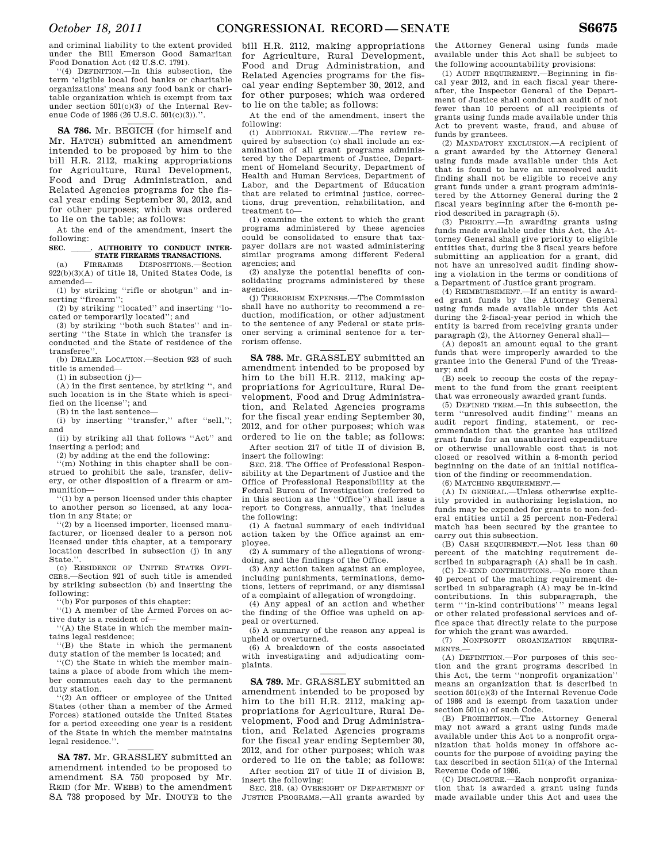and criminal liability to the extent provided under the Bill Emerson Good Samaritan Food Donation Act (42 U.S.C. 1791).

''(4) DEFINITION.—In this subsection, the term 'eligible local food banks or charitable organizations' means any food bank or charitable organization which is exempt from tax under section 501(c)(3) of the Internal Revenue Code of 1986 (26 U.S.C. 501(c)(3)).".

**SA 786.** Mr. BEGICH (for himself and Mr. HATCH) submitted an amendment intended to be proposed by him to the bill H.R. 2112, making appropriations for Agriculture, Rural Development, Food and Drug Administration, and Related Agencies programs for the fiscal year ending September 30, 2012, and for other purposes; which was ordered to lie on the table; as follows:

At the end of the amendment, insert the following:

# **SEC.** lll**. AUTHORITY TO CONDUCT INTER-STATE FIREARMS TRANSACTIONS.**

(a) FIREARMS DISPOSITIONS.—Section 922(b)(3)(A) of title 18, United States Code, is amended—

(1) by striking ''rifle or shotgun'' and inserting ''firearm'';

(2) by striking ''located'' and inserting ''located or temporarily located''; and

(3) by striking ''both such States'' and inserting ''the State in which the transfer is conducted and the State of residence of the transferee''.

(b) DEALER LOCATION.—Section 923 of such title is amended—

 $(1)$  in subsection  $(j)$ -

(A) in the first sentence, by striking '', and such location is in the State which is specified on the license''; and

(B) in the last sentence—

(i) by inserting ''transfer,'' after ''sell,''; and

(ii) by striking all that follows ''Act'' and inserting a period; and

(2) by adding at the end the following:

'(m) Nothing in this chapter shall be construed to prohibit the sale, transfer, delivery, or other disposition of a firearm or ammunition—

''(1) by a person licensed under this chapter to another person so licensed, at any location in any State; or

''(2) by a licensed importer, licensed manufacturer, or licensed dealer to a person not licensed under this chapter, at a temporary location described in subsection (i) in any State.'

(c) RESIDENCE OF UNITED STATES OFFI-CERS.—Section 921 of such title is amended by striking subsection (b) and inserting the following:

''(b) For purposes of this chapter:

''(1) A member of the Armed Forces on active duty is a resident of—

''(A) the State in which the member maintains legal residence;

''(B) the State in which the permanent duty station of the member is located; and

''(C) the State in which the member maintains a place of abode from which the member commutes each day to the permanent duty station.

''(2) An officer or employee of the United States (other than a member of the Armed Forces) stationed outside the United States for a period exceeding one year is a resident of the State in which the member maintains legal residence."

**SA 787.** Mr. GRASSLEY submitted an amendment intended to be proposed to amendment SA 750 proposed by Mr. REID (for Mr. WEBB) to the amendment SA 738 proposed by Mr. INOUYE to the

bill H.R. 2112, making appropriations for Agriculture, Rural Development, Food and Drug Administration, and Related Agencies programs for the fiscal year ending September 30, 2012, and for other purposes; which was ordered to lie on the table; as follows:

At the end of the amendment, insert the following:

(i) ADDITIONAL REVIEW.—The review required by subsection (c) shall include an examination of all grant programs administered by the Department of Justice, Department of Homeland Security, Department of Health and Human Services, Department of Labor, and the Department of Education that are related to criminal justice, corrections, drug prevention, rehabilitation, and treatment to—

(1) examine the extent to which the grant programs administered by these agencies could be consolidated to ensure that taxpayer dollars are not wasted administering similar programs among different Federal agencies; and

(2) analyze the potential benefits of consolidating programs administered by these agencies.

(j) TERRORISM EXPENSES.—The Commission shall have no authority to recommend a reduction, modification, or other adjustment to the sentence of any Federal or state prisoner serving a criminal sentence for a terrorism offense.

**SA 788.** Mr. GRASSLEY submitted an amendment intended to be proposed by him to the bill H.R. 2112, making appropriations for Agriculture, Rural Development, Food and Drug Administration, and Related Agencies programs for the fiscal year ending September 30, 2012, and for other purposes; which was ordered to lie on the table; as follows:

After section 217 of title II of division B, insert the following:

SEC. 218. The Office of Professional Responsibility at the Department of Justice and the Office of Professional Responsibility at the Federal Bureau of Investigation (referred to in this section as the ''Office'') shall issue a report to Congress, annually, that includes the following:

(1) A factual summary of each individual action taken by the Office against an employee.

(2) A summary of the allegations of wrongdoing, and the findings of the Office.

(3) Any action taken against an employee, including punishments, terminations, demotions, letters of reprimand, or any dismissal of a complaint of allegation of wrongdoing.

(4) Any appeal of an action and whether the finding of the Office was upheld on appeal or overturned.

(5) A summary of the reason any appeal is upheld or overturned.

(6) A breakdown of the costs associated with investigating and adjudicating complaints.

**SA 789.** Mr. GRASSLEY submitted an amendment intended to be proposed by him to the bill H.R. 2112, making appropriations for Agriculture, Rural Development, Food and Drug Administration, and Related Agencies programs for the fiscal year ending September 30, 2012, and for other purposes; which was ordered to lie on the table; as follows:

After section 217 of title II of division B, insert the following:

SEC. 218. (a) OVERSIGHT OF DEPARTMENT OF JUSTICE PROGRAMS.—All grants awarded by

the Attorney General using funds made available under this Act shall be subject to the following accountability provisions:

(1) AUDIT REQUIREMENT.—Beginning in fiscal year 2012, and in each fiscal year thereafter, the Inspector General of the Department of Justice shall conduct an audit of not fewer than 10 percent of all recipients of grants using funds made available under this Act to prevent waste, fraud, and abuse of funds by grantees.

(2) MANDATORY EXCLUSION.—A recipient of a grant awarded by the Attorney General using funds made available under this Act that is found to have an unresolved audit finding shall not be eligible to receive any grant funds under a grant program administered by the Attorney General during the 2 fiscal years beginning after the 6-month period described in paragraph (5).

(3) PRIORITY.—In awarding grants using funds made available under this Act, the Attorney General shall give priority to eligible entities that, during the 3 fiscal years before submitting an application for a grant, did not have an unresolved audit finding showing a violation in the terms or conditions of a Department of Justice grant program.

(4) REIMBURSEMENT.—If an entity is awarded grant funds by the Attorney General using funds made available under this Act during the 2-fiscal-year period in which the entity is barred from receiving grants under paragraph (2), the Attorney General shall—

(A) deposit an amount equal to the grant funds that were improperly awarded to the grantee into the General Fund of the Treasury; and

(B) seek to recoup the costs of the repayment to the fund from the grant recipient that was erroneously awarded grant funds.

(5) DEFINED TERM.—In this subsection, the term ''unresolved audit finding'' means an audit report finding, statement, or recommendation that the grantee has utilized grant funds for an unauthorized expenditure or otherwise unallowable cost that is not closed or resolved within a 6-month period beginning on the date of an initial notification of the finding or recommendation.

(6) MATCHING REQUIREMENT.—

(A) IN GENERAL.—Unless otherwise explicitly provided in authorizing legislation, no funds may be expended for grants to non-federal entities until a 25 percent non-Federal match has been secured by the grantee to carry out this subsection.

(B) CASH REQUIREMENT.—Not less than 60 percent of the matching requirement described in subparagraph (A) shall be in cash.

(C) IN-KIND CONTRIBUTIONS.—No more than 40 percent of the matching requirement described in subparagraph (A) may be in-kind contributions. In this subparagraph, the term '''in-kind contributions''' means legal or other related professional services and office space that directly relate to the purpose for which the grant was awarded.

(7) NONPROFIT ORGANIZATION REQUIRE-MENTS.—

(A) DEFINITION.—For purposes of this section and the grant programs described in this Act, the term ''nonprofit organization'' means an organization that is described in section 501(c)(3) of the Internal Revenue Code of 1986 and is exempt from taxation under section 501(a) of such Code.

(B) PROHIBITION.—The Attorney General may not award a grant using funds made available under this Act to a nonprofit organization that holds money in offshore accounts for the purpose of avoiding paying the tax described in section 511(a) of the Internal Revenue Code of 1986.

(C) DISCLOSURE.—Each nonprofit organization that is awarded a grant using funds made available under this Act and uses the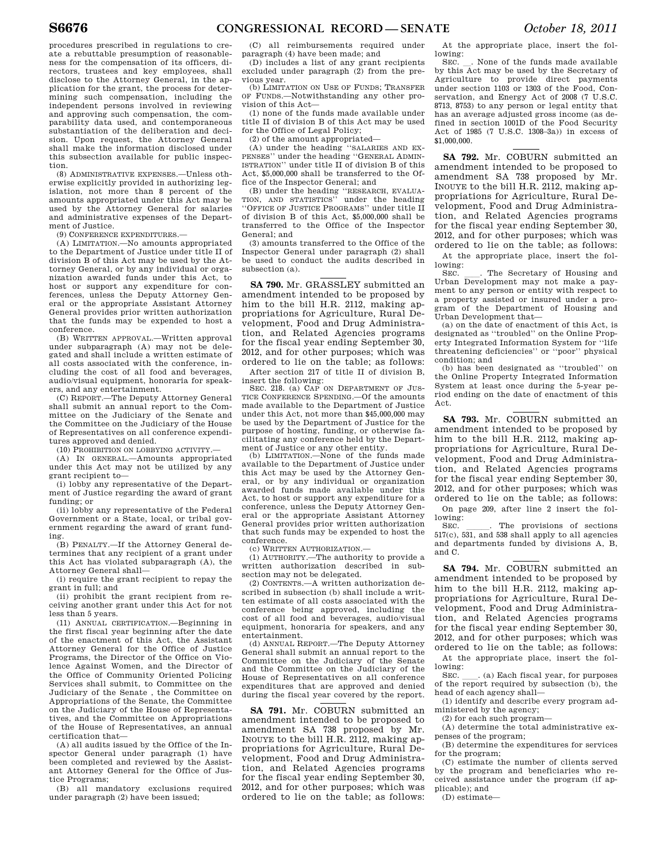procedures prescribed in regulations to create a rebuttable presumption of reasonableness for the compensation of its officers, directors, trustees and key employees, shall disclose to the Attorney General, in the application for the grant, the process for determining such compensation, including the independent persons involved in reviewing and approving such compensation, the comparability data used, and contemporaneous substantiation of the deliberation and decision. Upon request, the Attorney General shall make the information disclosed under this subsection available for public inspection.

(8) ADMINISTRATIVE EXPENSES.—Unless otherwise explicitly provided in authorizing legislation, not more than 8 percent of the amounts appropriated under this Act may be used by the Attorney General for salaries and administrative expenses of the Department of Justice.

(9) CONFERENCE EXPENDITURES.—

(A) LIMITATION.—No amounts appropriated to the Department of Justice under title II of division B of this Act may be used by the Attorney General, or by any individual or organization awarded funds under this Act, to host or support any expenditure for con-ferences, unless the Deputy Attorney General or the appropriate Assistant Attorney General provides prior written authorization that the funds may be expended to host a conference.

(B) WRITTEN APPROVAL.—Written approval under subparagraph (A) may not be delegated and shall include a written estimate of all costs associated with the conference, including the cost of all food and beverages, audio/visual equipment, honoraria for speakers, and any entertainment.

(C) REPORT.—The Deputy Attorney General shall submit an annual report to the Committee on the Judiciary of the Senate and the Committee on the Judiciary of the House of Representatives on all conference expenditures approved and denied.

(10) PROHIBITION ON LOBBYING ACTIVITY.—

(A) IN GENERAL.—Amounts appropriated under this Act may not be utilized by any grant recipient to—

(i) lobby any representative of the Department of Justice regarding the award of grant funding; or

(ii) lobby any representative of the Federal Government or a State, local, or tribal government regarding the award of grant funding.

(B) PENALTY.—If the Attorney General determines that any recipient of a grant under this Act has violated subparagraph (A), the Attorney General shall—

(i) require the grant recipient to repay the grant in full; and

(ii) prohibit the grant recipient from receiving another grant under this Act for not less than 5 years.

(11) ANNUAL CERTIFICATION.—Beginning in the first fiscal year beginning after the date of the enactment of this Act, the Assistant Attorney General for the Office of Justice Programs, the Director of the Office on Violence Against Women, and the Director of the Office of Community Oriented Policing Services shall submit, to Committee on the Judiciary of the Senate , the Committee on Appropriations of the Senate, the Committee on the Judiciary of the House of Representatives, and the Committee on Appropriations of the House of Representatives, an annual certification that—

(A) all audits issued by the Office of the Inspector General under paragraph (1) have been completed and reviewed by the Assistant Attorney General for the Office of Justice Programs;

(B) all mandatory exclusions required under paragraph (2) have been issued;

(C) all reimbursements required under paragraph (4) have been made; and

(D) includes a list of any grant recipients excluded under paragraph (2) from the previous year.

(b) LIMITATION ON USE OF FUNDS; TRANSFER OF FUNDS.—Notwithstanding any other provision of this Act—

(1) none of the funds made available under title II of division B of this Act may be used for the Office of Legal Policy;

(2) of the amount appropriated—

(A) under the heading ''SALARIES AND EX-PENSES'' under the heading ''GENERAL ADMIN-ISTRATION'' under title II of division B of this Act, \$5,000,000 shall be transferred to the Office of the Inspector General; and

(B) under the heading ''RESEARCH, EVALUA-TION, AND STATISTICS'' under the heading ''OFFICE OF JUSTICE PROGRAMS'' under title II of division B of this Act, \$5,000,000 shall be transferred to the Office of the Inspector General; and

(3) amounts transferred to the Office of the Inspector General under paragraph (2) shall be used to conduct the audits described in subsection (a).

**SA 790.** Mr. GRASSLEY submitted an amendment intended to be proposed by him to the bill H.R. 2112, making appropriations for Agriculture, Rural Development, Food and Drug Administration, and Related Agencies programs for the fiscal year ending September 30, 2012, and for other purposes; which was ordered to lie on the table; as follows:

After section 217 of title II of division B, insert the following:

SEC. 218. (a) CAP ON DEPARTMENT OF JUS-TICE CONFERENCE SPENDING.—Of the amounts made available to the Department of Justice under this Act, not more than \$45,000,000 may be used by the Department of Justice for the purpose of hosting, funding, or otherwise facilitating any conference held by the Department of Justice or any other entity.

(b) LIMITATION.—None of the funds made available to the Department of Justice under this Act may be used by the Attorney General, or by any individual or organization awarded funds made available under this Act, to host or support any expenditure for a conference, unless the Deputy Attorney General or the appropriate Assistant Attorney General provides prior written authorization that such funds may be expended to host the conference.

(c) WRITTEN AUTHORIZATION.—

(1) AUTHORITY.—The authority to provide a written authorization described in subsection may not be delegated.

(2) CONTENTS.—A written authorization described in subsection (b) shall include a written estimate of all costs associated with the conference being approved, including the cost of all food and beverages, audio/visual equipment, honoraria for speakers, and any entertainment.

(d) ANNUAL REPORT.—The Deputy Attorney General shall submit an annual report to the Committee on the Judiciary of the Senate and the Committee on the Judiciary of the House of Representatives on all conference expenditures that are approved and denied during the fiscal year covered by the report.

**SA 791.** Mr. COBURN submitted an amendment intended to be proposed to amendment SA 738 proposed by Mr. INOUYE to the bill H.R. 2112, making appropriations for Agriculture, Rural Development, Food and Drug Administration, and Related Agencies programs for the fiscal year ending September 30, 2012, and for other purposes; which was ordered to lie on the table; as follows:

At the appropriate place, insert the following:

SEC.  $\Box$ . None of the funds made available by this Act may be used by the Secretary of Agriculture to provide direct payments under section 1103 or 1303 of the Food, Conservation, and Energy Act of 2008 (7 U.S.C. 8713, 8753) to any person or legal entity that has an average adjusted gross income (as defined in section 1001D of the Food Security Act of 1985 (7 U.S.C. 1308–3a)) in excess of \$1,000,000.

**SA 792.** Mr. COBURN submitted an amendment intended to be proposed to amendment SA 738 proposed by Mr. INOUYE to the bill H.R. 2112, making appropriations for Agriculture, Rural Development, Food and Drug Administration, and Related Agencies programs for the fiscal year ending September 30, 2012, and for other purposes; which was ordered to lie on the table; as follows:

At the appropriate place, insert the following:<br>SEC.

SEC.  $\quad$  The Secretary of Housing and Urban Development may not make a payment to any person or entity with respect to a property assisted or insured under a program of the Department of Housing and Urban Development that—

(a) on the date of enactment of this Act, is designated as ''troubled'' on the Online Property Integrated Information System for ''life threatening deficiencies'' or ''poor'' physical condition; and

(b) has been designated as ''troubled'' on the Online Property Integrated Information System at least once during the 5-year period ending on the date of enactment of this Act.

**SA 793.** Mr. COBURN submitted an amendment intended to be proposed by him to the bill H.R. 2112, making appropriations for Agriculture, Rural Development, Food and Drug Administration, and Related Agencies programs for the fiscal year ending September 30. 2012, and for other purposes; which was ordered to lie on the table; as follows:

On page 209, after line 2 insert the following:<br>SEC.

SEC. The provisions of sections 517(c), 531, and 538 shall apply to all agencies and departments funded by divisions A, B, and C.

**SA 794.** Mr. COBURN submitted an amendment intended to be proposed by him to the bill H.R. 2112, making appropriations for Agriculture, Rural Development, Food and Drug Administration, and Related Agencies programs for the fiscal year ending September 30, 2012, and for other purposes; which was ordered to lie on the table; as follows:

At the appropriate place, insert the following:<br>SEC.

SEC.  $\_\_$ . (a) Each fiscal year, for purposes of the report required by subsection (b), the head of each agency shall—

(1) identify and describe every program administered by the agency;

(2) for each such program—

(A) determine the total administrative expenses of the program;

(B) determine the expenditures for services for the program;

(C) estimate the number of clients served by the program and beneficiaries who received assistance under the program (if applicable); and

(D) estimate—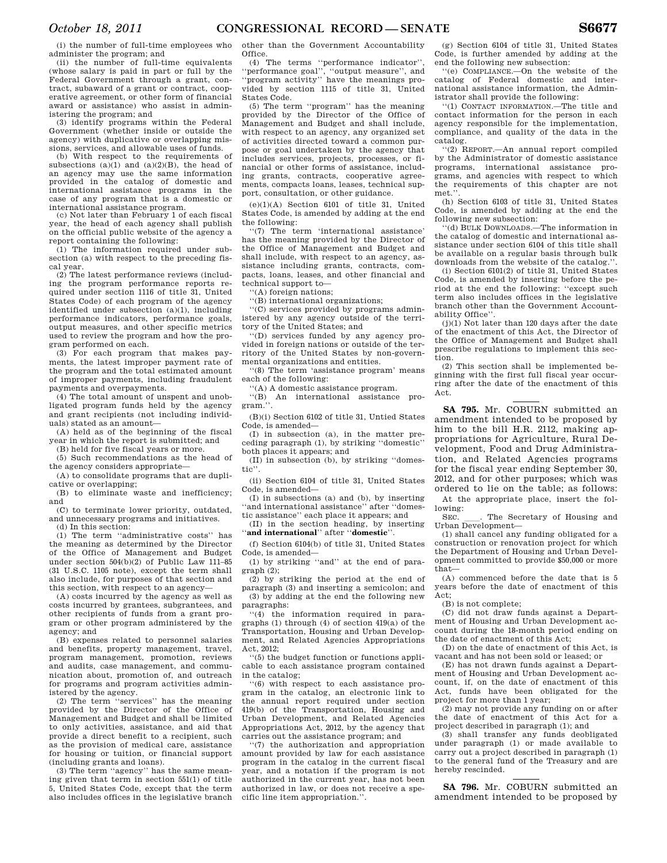(i) the number of full-time employees who administer the program; and

(ii) the number of full-time equivalents (whose salary is paid in part or full by the Federal Government through a grant, contract, subaward of a grant or contract, cooperative agreement, or other form of financial award or assistance) who assist in administering the program; and

(3) identify programs within the Federal Government (whether inside or outside the agency) with duplicative or overlapping missions, services, and allowable uses of funds.

(b) With respect to the requirements of subsections  $(a)(1)$  and  $(a)(2)(B)$ , the head of an agency may use the same information provided in the catalog of domestic and international assistance programs in the case of any program that is a domestic or international assistance program.

(c) Not later than February 1 of each fiscal year, the head of each agency shall publish on the official public website of the agency a report containing the following:

(1) The information required under subsection (a) with respect to the preceding fiscal year.

(2) The latest performance reviews (including the program performance reports required under section 1116 of title 31, United States Code) of each program of the agency identified under subsection (a)(1), including performance indicators, performance goals, output measures, and other specific metrics used to review the program and how the program performed on each.

(3) For each program that makes payments, the latest improper payment rate of the program and the total estimated amount of improper payments, including fraudulent payments and overpayments.

(4) The total amount of unspent and unobligated program funds held by the agency and grant recipients (not including individuals) stated as an amount—

(A) held as of the beginning of the fiscal year in which the report is submitted; and

(B) held for five fiscal years or more.

(5) Such recommendations as the head of the agency considers appropriate—

(A) to consolidate programs that are duplicative or overlapping;

(B) to eliminate waste and inefficiency; and

(C) to terminate lower priority, outdated, and unnecessary programs and initiatives. (d) In this section:

(1) The term ''administrative costs'' has the meaning as determined by the Director of the Office of Management and Budget under section 504(b)(2) of Public Law 111–85 (31 U.S.C. 1105 note), except the term shall also include, for purposes of that section and this section, with respect to an agency—

(A) costs incurred by the agency as well as costs incurred by grantees, subgrantees, and other recipients of funds from a grant program or other program administered by the agency; and

(B) expenses related to personnel salaries and benefits, property management, travel, program management, promotion, reviews and audits, case management, and communication about, promotion of, and outreach for programs and program activities administered by the agency.

(2) The term ''services'' has the meaning provided by the Director of the Office of Management and Budget and shall be limited to only activities, assistance, and aid that provide a direct benefit to a recipient, such as the provision of medical care, assistance for housing or tuition, or financial support (including grants and loans).

(3) The term ''agency'' has the same meaning given that term in section 551(1) of title 5, United States Code, except that the term also includes offices in the legislative branch other than the Government Accountability Office.

(4) The terms ''performance indicator'', ''performance goal'', ''output measure'', and ''program activity'' have the meanings provided by section 1115 of title 31, United States Code.

(5) The term ''program'' has the meaning provided by the Director of the Office of Management and Budget and shall include, with respect to an agency, any organized set of activities directed toward a common purpose or goal undertaken by the agency that includes services, projects, processes, or financial or other forms of assistance, including grants, contracts, cooperative agreements, compacts loans, leases, technical support, consultation, or other guidance.

 $(e)(1)(A)$  Section 6101 of title 31, United States Code, is amended by adding at the end the following:

''(7) The term 'international assistance' has the meaning provided by the Director of the Office of Management and Budget and shall include, with respect to an agency, assistance including grants, contracts, compacts, loans, leases, and other financial and technical support to—

''(A) foreign nations;

''(B) international organizations;

''(C) services provided by programs administered by any agency outside of the territory of the United States; and

''(D) services funded by any agency provided in foreign nations or outside of the territory of the United States by non-governmental organizations and entities.

''(8) The term 'assistance program' means each of the following:

''(A) A domestic assistance program.

''(B) An international assistance program.''.

(B)(i) Section 6102 of title 31, Untied States Code, is amended—

(I) in subsection (a), in the matter preceding paragraph (1), by striking ''domestic'' both places it appears; and

(II) in subsection (b), by striking ''domestic''.

(ii) Section 6104 of title 31, United States Code, is amended—

(I) in subsections (a) and (b), by inserting ''and international assistance'' after ''domestic assistance'' each place it appears; and

(II) in the section heading, by inserting 'and international'' after "domestic".

(f) Section 6104(b) of title 31, United States Code, is amended—

(1) by striking ''and'' at the end of paragraph (2);

(2) by striking the period at the end of paragraph (3) and inserting a semicolon; and (3) by adding at the end the following new paragraphs:

''(4) the information required in paragraphs (1) through (4) of section 419(a) of the Transportation, Housing and Urban Development, and Related Agencies Appropriations Act,  $2012$ ;

''(5) the budget function or functions applicable to each assistance program contained in the catalog;

''(6) with respect to each assistance program in the catalog, an electronic link to the annual report required under section 419(b) of the Transportation, Housing and Urban Development, and Related Agencies Appropriations Act, 2012, by the agency that carries out the assistance program; and

''(7) the authorization and appropriation amount provided by law for each assistance program in the catalog in the current fiscal year, and a notation if the program is not authorized in the current year, has not been authorized in law, or does not receive a specific line item appropriation.''.

(g) Section 6104 of title 31, United States Code, is further amended by adding at the end the following new subsection:

''(e) COMPLIANCE.—On the website of the catalog of Federal domestic and international assistance information, the Administrator shall provide the following:

''(1) CONTACT INFORMATION.—The title and contact information for the person in each agency responsible for the implementation, compliance, and quality of the data in the catalog.

''(2) REPORT.—An annual report compiled by the Administrator of domestic assistance programs, international assistance programs, and agencies with respect to which the requirements of this chapter are not met.

(h) Section 6103 of title 31, United States Code, is amended by adding at the end the following new subsection:

''(d) BULK DOWNLOADS.—The information in the catalog of domestic and international assistance under section 6104 of this title shall be available on a regular basis through bulk downloads from the website of the catalog.''.

(i) Section 6101(2) of title 31, United States Code, is amended by inserting before the period at the end the following: ''except such term also includes offices in the legislative branch other than the Government Accountability Office''.

 $(i)(1)$  Not later than 120 days after the date of the enactment of this Act, the Director of the Office of Management and Budget shall prescribe regulations to implement this section.

(2) This section shall be implemented beginning with the first full fiscal year occurring after the date of the enactment of this Act.

**SA 795.** Mr. COBURN submitted an amendment intended to be proposed by him to the bill H.R. 2112, making appropriations for Agriculture, Rural Development, Food and Drug Administration, and Related Agencies programs for the fiscal year ending September 30, 2012, and for other purposes; which was ordered to lie on the table; as follows:

At the appropriate place, insert the following:

SEC. \_\_\_. The Secretary of Housing and Urban Development—

(1) shall cancel any funding obligated for a construction or renovation project for which the Department of Housing and Urban Development committed to provide \$50,000 or more that—

(A) commenced before the date that is 5 years before the date of enactment of this Act;

(B) is not complete;

(C) did not draw funds against a Department of Housing and Urban Development account during the 18-month period ending on the date of enactment of this Act;

(D) on the date of enactment of this Act, is vacant and has not been sold or leased; or

(E) has not drawn funds against a Department of Housing and Urban Development account, if, on the date of enactment of this Act, funds have been obligated for the project for more than 1 year;

(2) may not provide any funding on or after the date of enactment of this Act for a project described in paragraph (1); and

(3) shall transfer any funds deobligated under paragraph (1) or made available to carry out a project described in paragraph (1) to the general fund of the Treasury and are hereby rescinded.

**SA 796.** Mr. COBURN submitted an amendment intended to be proposed by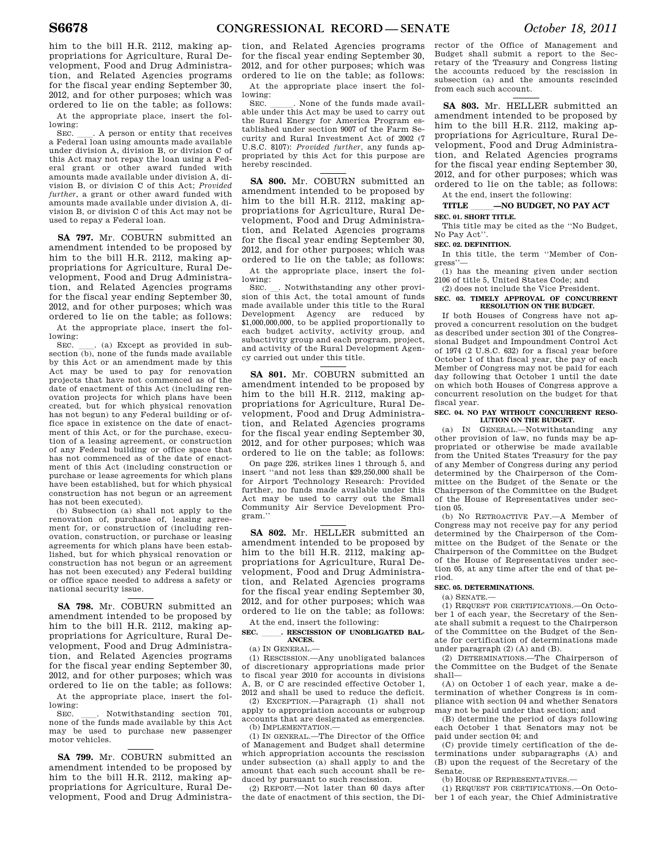him to the bill H.R. 2112, making appropriations for Agriculture, Rural Development, Food and Drug Administration, and Related Agencies programs for the fiscal year ending September 30, 2012, and for other purposes; which was ordered to lie on the table; as follows:

At the appropriate place, insert the following:<br>SEC.

SEC. Let A person or entity that receives a Federal loan using amounts made available under division A, division B, or division C of this Act may not repay the loan using a Federal grant or other award funded with amounts made available under division A, division B, or division C of this Act; *Provided further*, a grant or other award funded with amounts made available under division A, division B, or division C of this Act may not be used to repay a Federal loan.

**SA 797.** Mr. COBURN submitted an amendment intended to be proposed by him to the bill H.R. 2112, making appropriations for Agriculture, Rural Development, Food and Drug Administration, and Related Agencies programs for the fiscal year ending September 30, 2012, and for other purposes; which was ordered to lie on the table; as follows: At the appropriate place, insert the following:

SEC.  $\quad$  (a) Except as provided in subsection (b), none of the funds made available by this Act or an amendment made by this Act may be used to pay for renovation projects that have not commenced as of the date of enactment of this Act (including renovation projects for which plans have been created, but for which physical renovation has not begun) to any Federal building or office space in existence on the date of enactment of this Act, or for the purchase, execution of a leasing agreement, or construction of any Federal building or office space that has not commenced as of the date of enactment of this Act (including construction or purchase or lease agreements for which plans have been established, but for which physical construction has not begun or an agreement has not been executed).

(b) Subsection (a) shall not apply to the renovation of, purchase of, leasing agreement for, or construction of (including renovation, construction, or purchase or leasing agreements for which plans have been established, but for which physical renovation or construction has not begun or an agreement has not been executed) any Federal building or office space needed to address a safety or national security issue.

**SA 798.** Mr. COBURN submitted an amendment intended to be proposed by him to the bill H.R. 2112, making appropriations for Agriculture, Rural Development, Food and Drug Administration, and Related Agencies programs for the fiscal year ending September 30, 2012, and for other purposes; which was ordered to lie on the table; as follows: At the appropriate place, insert the fol-

lowing: SEC. \_\_\_\_. Notwithstanding section 701, none of the funds made available by this Act

may be used to purchase new passenger motor vehicles.

**SA 799.** Mr. COBURN submitted an amendment intended to be proposed by him to the bill H.R. 2112, making appropriations for Agriculture, Rural Development, Food and Drug Administra-

tion, and Related Agencies programs for the fiscal year ending September 30, 2012, and for other purposes; which was ordered to lie on the table; as follows:

At the appropriate place insert the following:<br>SEC.

SEC. \_\_\_\_\_\_. None of the funds made available under this Act may be used to carry out the Rural Energy for America Program established under section 9007 of the Farm Security and Rural Investment Act of 2002 (7 U.S.C. 8107): *Provided further*, any funds appropriated by this Act for this purpose are hereby rescinded.

**SA 800.** Mr. COBURN submitted an amendment intended to be proposed by him to the bill H.R. 2112, making appropriations for Agriculture, Rural Development, Food and Drug Administration, and Related Agencies programs for the fiscal year ending September 30, 2012, and for other purposes; which was ordered to lie on the table; as follows:

At the appropriate place, insert the following:<br>SEC.

Notwithstanding any other provision of this Act, the total amount of funds made available under this title to the Rural Development Agency are reduced by \$1,000,000,000, to be applied proportionally to each budget activity, activity group, and subactivity group and each program, project, and activity of the Rural Development Agency carried out under this title.

**SA 801.** Mr. COBURN submitted an amendment intended to be proposed by him to the bill H.R. 2112, making appropriations for Agriculture, Rural Development, Food and Drug Administration, and Related Agencies programs for the fiscal year ending September 30, 2012, and for other purposes; which was ordered to lie on the table; as follows:

On page 226, strikes lines 1 through 5, and insert ''and not less than \$29,250,000 shall be for Airport Technology Research: Provided further, no funds made available under this Act may be used to carry out the Small Community Air Service Development Program.''

**SA 802.** Mr. HELLER submitted an amendment intended to be proposed by him to the bill H.R. 2112, making appropriations for Agriculture, Rural Development, Food and Drug Administration, and Related Agencies programs for the fiscal year ending September 30, 2012, and for other purposes; which was ordered to lie on the table; as follows: At the end, insert the following:

#### SEC. RESCISSION OF UNOBLIGATED BAL-**ANCES.**

(a) IN GENERAL.—

(1) RESCISSION.—Any unobligated balances of discretionary appropriations made prior to fiscal year 2010 for accounts in divisions A, B, or C are rescinded effective October 1, 2012 and shall be used to reduce the deficit.

(2) EXCEPTION.—Paragraph (1) shall not apply to appropriation accounts or subgroup accounts that are designated as emergencies. (b) IMPLEMENTATION.—

(1) IN GENERAL.—The Director of the Office of Management and Budget shall determine which appropriation accounts the rescission under subsection (a) shall apply to and the amount that each such account shall be reduced by pursuant to such rescission.

(2) REPORT.—Not later than 60 days after the date of enactment of this section, the Di-

rector of the Office of Management and Budget shall submit a report to the Secretary of the Treasury and Congress listing the accounts reduced by the rescission in subsection (a) and the amounts rescinded from each such account.

**SA 803.** Mr. HELLER submitted an amendment intended to be proposed by him to the bill H.R. 2112, making appropriations for Agriculture, Rural Development, Food and Drug Administration, and Related Agencies programs for the fiscal year ending September 30, 2012, and for other purposes; which was ordered to lie on the table; as follows: At the end, insert the following:

# **TITLE –NO BUDGET, NO PAY ACT**

## **SEC. 01. SHORT TITLE.**

This title may be cited as the ''No Budget, No Pay Act''.

**SEC. 02. DEFINITION.** 

In this title, the term ''Member of Congress<sup>'</sup>

(1) has the meaning given under section 2106 of title 5, United States Code; and (2) does not include the Vice President.

#### **SEC. 03. TIMELY APPROVAL OF CONCURRENT RESOLUTION ON THE BUDGET.**

If both Houses of Congress have not approved a concurrent resolution on the budget as described under section 301 of the Congressional Budget and Impoundment Control Act of 1974 (2 U.S.C. 632) for a fiscal year before October 1 of that fiscal year, the pay of each Member of Congress may not be paid for each day following that October 1 until the date on which both Houses of Congress approve a concurrent resolution on the budget for that fiscal year.

#### SEC. 04. NO PAY WITHOUT CONCURRENT RESO-**LUTION ON THE BUDGET.**

(a) IN GENERAL.—Notwithstanding any other provision of law, no funds may be appropriated or otherwise be made available from the United States Treasury for the pay of any Member of Congress during any period determined by the Chairperson of the Committee on the Budget of the Senate or the Chairperson of the Committee on the Budget of the House of Representatives under section 05.

(b) NO RETROACTIVE PAY.—A Member of Congress may not receive pay for any period determined by the Chairperson of the Committee on the Budget of the Senate or the Chairperson of the Committee on the Budget of the House of Representatives under section 05, at any time after the end of that period.

### **SEC. 05. DETERMINATIONS.**

(a) SENATE.—

(1) REQUEST FOR CERTIFICATIONS.—On October 1 of each year, the Secretary of the Senate shall submit a request to the Chairperson of the Committee on the Budget of the Senate for certification of determinations made under paragraph (2) (A) and (B).

(2) DETERMINATIONS.—The Chairperson of the Committee on the Budget of the Senate shall—

(A) on October 1 of each year, make a determination of whether Congress is in compliance with section 04 and whether Senators may not be paid under that section; and

(B) determine the period of days following each October 1 that Senators may not be paid under section 04; and

(C) provide timely certification of the determinations under subparagraphs (A) and (B) upon the request of the Secretary of the Senate.

(b) HOUSE OF REPRESENTATIVES.—

(1) REQUEST FOR CERTIFICATIONS.—On October 1 of each year, the Chief Administrative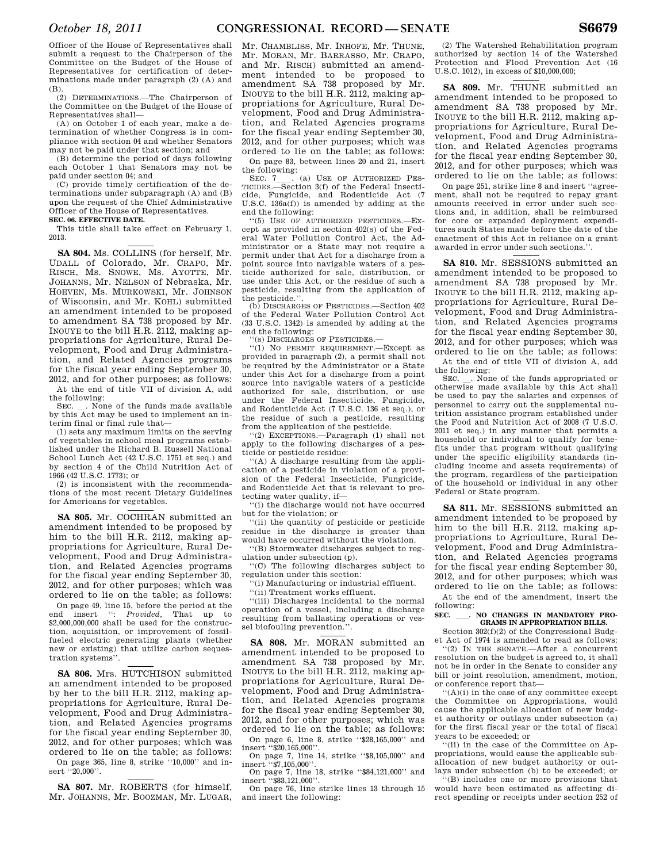Officer of the House of Representatives shall submit a request to the Chairperson of the Committee on the Budget of the House of Representatives for certification of deter-

(B). (2) DETERMINATIONS.—The Chairperson of the Committee on the Budget of the House of Representatives shall—

minations made under paragraph (2) (A) and

(A) on October 1 of each year, make a determination of whether Congress is in compliance with section 04 and whether Senators may not be paid under that section; and

(B) determine the period of days following each October 1 that Senators may not be paid under section 04; and

(C) provide timely certification of the determinations under subparagraph (A) and (B) upon the request of the Chief Administrative Officer of the House of Representatives. **SEC. 06. EFFECTIVE DATE.** 

This title shall take effect on February 1, 2013.

**SA 804.** Ms. COLLINS (for herself, Mr. UDALL of Colorado, Mr. CRAPO, Mr. RISCH, Ms. SNOWE, Ms. AYOTTE, Mr. JOHANNS, Mr. NELSON of Nebraska, Mr. HOEVEN, Ms. MURKOWSKI, Mr. JOHNSON of Wisconsin, and Mr. KOHL) submitted an amendment intended to be proposed to amendment SA 738 proposed by Mr. INOUYE to the bill H.R. 2112, making appropriations for Agriculture, Rural Development, Food and Drug Administration, and Related Agencies programs for the fiscal year ending September 30, 2012, and for other purposes; as follows:

At the end of title VII of division A, add the following:<br>SEC. . None of the funds made available

SEC.  $\_\_$ . None of the funds made available by this Act may be used to implement an interim final or final rule that—

(1) sets any maximum limits on the serving of vegetables in school meal programs established under the Richard B. Russell National School Lunch Act (42 U.S.C. 1751 et seq.) and by section 4 of the Child Nutrition Act of 1966 (42 U.S.C. 1773); or

(2) is inconsistent with the recommendations of the most recent Dietary Guidelines for Americans for vegetables.

**SA 805.** Mr. COCHRAN submitted an amendment intended to be proposed by him to the bill H.R. 2112, making appropriations for Agriculture, Rural Development, Food and Drug Administration, and Related Agencies programs for the fiscal year ending September 30, 2012, and for other purposes; which was ordered to lie on the table; as follows:

On page 49, line 15, before the period at the end insert '': *Provided,* That up to \$2,000,000,000 shall be used for the construction, acquisition, or improvement of fossilfueled electric generating plants (whether new or existing) that utilize carbon sequestration systems''.

**SA 806.** Mrs. HUTCHISON submitted an amendment intended to be proposed by her to the bill H.R. 2112, making appropriations for Agriculture, Rural Development, Food and Drug Administration, and Related Agencies programs for the fiscal year ending September 30, 2012, and for other purposes; which was ordered to lie on the table; as follows: On page 365, line 8, strike ''10,000'' and insert ''20,000''.

**SA 807.** Mr. ROBERTS (for himself, Mr. JOHANNS, Mr. BOOZMAN, Mr. LUGAR,

Mr. CHAMBLISS, Mr. INHOFE, Mr. THUNE, Mr. MORAN, Mr. BARRASSO, Mr. CRAPO, and Mr. RISCH) submitted an amendment intended to be proposed to amendment SA 738 proposed by Mr. INOUYE to the bill H.R. 2112, making appropriations for Agriculture, Rural Development, Food and Drug Administration, and Related Agencies programs for the fiscal year ending September 30, 2012, and for other purposes; which was ordered to lie on the table; as follows:

On page 83, between lines 20 and 21, insert the following:<br>SEC. 7 (a) USE OF AUTHORIZED PES-

SEC. 7\_\_\_. (a) USE OF AUTHORIZED PES-<br>TICIDES.—Section 3(f) of the Federal Insecticide, Fungicide, and Rodenticide Act (7 U.S.C. 136a(f)) is amended by adding at the end the following:

''(5) USE OF AUTHORIZED PESTICIDES.—Except as provided in section 402(s) of the Federal Water Pollution Control Act, the Administrator or a State may not require a permit under that Act for a discharge from a point source into navigable waters of a pesticide authorized for sale, distribution, or use under this Act, or the residue of such a pesticide, resulting from the application of the pesticide."

(b) DISCHARGES OF PESTICIDES.—Section 402 of the Federal Water Pollution Control Act (33 U.S.C. 1342) is amended by adding at the end the following:

'(s) DISCHARGES OF PESTICIDES.

''(1) NO PERMIT REQUIREMENT.—Except as provided in paragraph (2), a permit shall not be required by the Administrator or a State under this Act for a discharge from a point source into navigable waters of a pesticide authorized for sale, distribution, or use under the Federal Insecticide, Fungicide, and Rodenticide Act (7 U.S.C. 136 et seq.), or the residue of such a pesticide, resulting from the application of the pesticide.

''(2) EXCEPTIONS.—Paragraph (1) shall not apply to the following discharges of a pesticide or pesticide residue:

''(A) A discharge resulting from the application of a pesticide in violation of a provision of the Federal Insecticide, Fungicide, and Rodenticide Act that is relevant to protecting water quality, if—

''(i) the discharge would not have occurred but for the violation; or

''(ii) the quantity of pesticide or pesticide residue in the discharge is greater than would have occurred without the violation.

''(B) Stormwater discharges subject to regulation under subsection (p).

''(C) The following discharges subject to regulation under this section:

'(i) Manufacturing or industrial effluent. ''(ii) Treatment works effluent.

''(iii) Discharges incidental to the normal operation of a vessel, including a discharge resulting from ballasting operations or vessel biofouling prevention.'

**SA 808.** Mr. MORAN submitted an amendment intended to be proposed to amendment SA 738 proposed by Mr. INOUYE to the bill H.R. 2112, making appropriations for Agriculture, Rural Development, Food and Drug Administration, and Related Agencies programs for the fiscal year ending September 30, 2012, and for other purposes; which was ordered to lie on the table; as follows:

On page 6, line 8, strike ''\$28,165,000'' and insert ''\$20,165,000''.

On page 7, line 14, strike ''\$8,105,000'' and insert ''\$7,105,000''.

On page 7, line 18, strike ''\$84,121,000'' and insert ''\$83,121,000''.

On page 76, line strike lines 13 through 15 and insert the following:

(2) The Watershed Rehabilitation program authorized by section 14 of the Watershed Protection and Flood Prevention Act (16 U.S.C. 1012), in excess of \$10,000,000;

**SA 809.** Mr. THUNE submitted an amendment intended to be proposed to amendment SA 738 proposed by Mr. INOUYE to the bill H.R. 2112, making appropriations for Agriculture, Rural Development, Food and Drug Administration, and Related Agencies programs for the fiscal year ending September 30, 2012, and for other purposes; which was ordered to lie on the table; as follows:

On page 251, strike line 8 and insert ''agreement, shall not be required to repay grant amounts received in error under such sections and, in addition, shall be reimbursed for core or expanded deployment expenditures such States made before the date of the enactment of this Act in reliance on a grant awarded in error under such sections.''.

**SA 810.** Mr. SESSIONS submitted an amendment intended to be proposed to amendment SA 738 proposed by Mr. INOUYE to the bill H.R. 2112, making appropriations for Agriculture, Rural Development, Food and Drug Administration, and Related Agencies programs for the fiscal year ending September 30, 2012, and for other purposes; which was ordered to lie on the table; as follows: At the end of title VII of division A, add

the following:<br>  $$\texttt{SEC.}\_\texttt{.}$  None of the funds appropriated or SEC.  $\_\_$ . None of the funds appropriated or otherwise made available by this Act shall be used to pay the salaries and expenses of personnel to carry out the supplemental nutrition assistance program established under the Food and Nutrition Act of 2008 (7 U.S.C. 2011 et seq.) in any manner that permits a household or individual to qualify for benefits under that program without qualifying under the specific eligibility standards (including income and assets requirements) of the program, regardless of the participation of the household or individual in any other Federal or State program.

**SA 811.** Mr. SESSIONS submitted an amendment intended to be proposed by him to the bill H.R. 2112, making appropriations to Agriculture, Rural Development, Food and Drug Administration, and Related Agencies programs for the fiscal year ending September 30, 2012, and for other purposes; which was ordered to lie on the table; as follows:

At the end of the amendment, insert the following:

# **SEC.** ll**. NO CHANGES IN MANDATORY PRO-GRAMS IN APPROPRIATION BILLS.**

Section 302(f)(2) of the Congressional Budget Act of 1974 is amended to read as follows:

''(2) IN THE SENATE.—After a concurrent resolution on the budget is agreed to, it shall not be in order in the Senate to consider any bill or joint resolution, amendment, motion, or conference report that—

''(A)(i) in the case of any committee except the Committee on Appropriations, would cause the applicable allocation of new budget authority or outlays under subsection (a) for the first fiscal year or the total of fiscal years to be exceeded; or

''(ii) in the case of the Committee on Appropriations, would cause the applicable suballocation of new budget authority or outlays under subsection (b) to be exceeded; or

''(B) includes one or more provisions that would have been estimated as affecting direct spending or receipts under section 252 of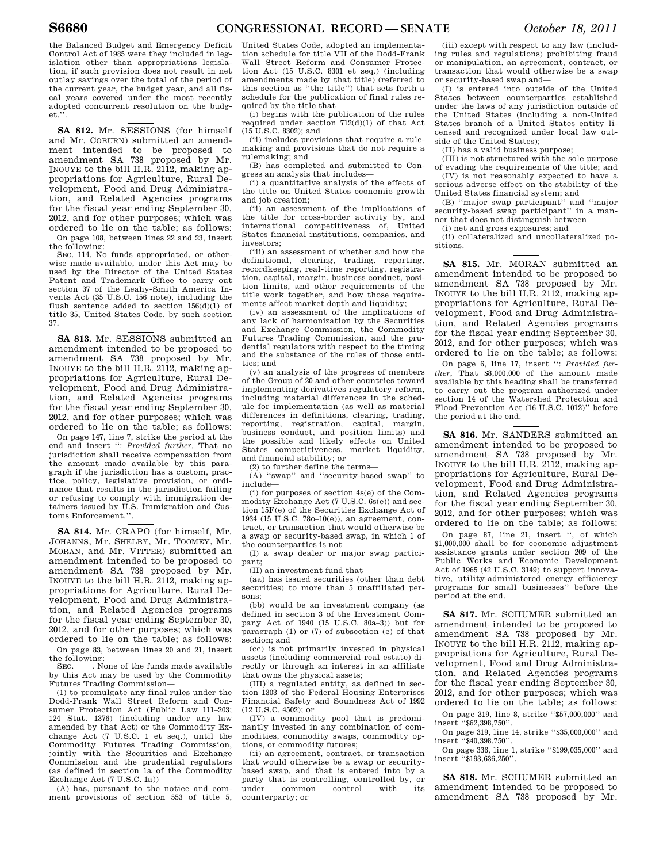the Balanced Budget and Emergency Deficit Control Act of 1985 were they included in legislation other than appropriations legislation, if such provision does not result in net outlay savings over the total of the period of the current year, the budget year, and all fiscal years covered under the most recently adopted concurrent resolution on the budget.''.

**SA 812.** Mr. SESSIONS (for himself and Mr. COBURN) submitted an amendment intended to be proposed to amendment SA 738 proposed by Mr. INOUYE to the bill H.R. 2112, making appropriations for Agriculture, Rural Development, Food and Drug Administration, and Related Agencies programs for the fiscal year ending September 30, 2012, and for other purposes; which was ordered to lie on the table; as follows: On page 108, between lines 22 and 23, insert

the following: SEC. 114. No funds appropriated, or other-

wise made available, under this Act may be used by the Director of the United States Patent and Trademark Office to carry out section 37 of the Leahy-Smith America Invents Act  $(35 \text{ H S C} \quad 156 \text{ note})$ , including the flush sentence added to section 156(d)(1) of title 35, United States Code, by such section 37.

**SA 813.** Mr. SESSIONS submitted an amendment intended to be proposed to amendment SA 738 proposed by Mr. INOUYE to the bill H.R. 2112, making appropriations for Agriculture, Rural Development, Food and Drug Administration, and Related Agencies programs for the fiscal year ending September 30, 2012, and for other purposes; which was ordered to lie on the table; as follows:

On page 147, line 7, strike the period at the end and insert '': *Provided further,* That no jurisdiction shall receive compensation from the amount made available by this paragraph if the jurisdiction has a custom, practice, policy, legislative provision, or ordinance that results in the jurisdiction failing or refusing to comply with immigration detainers issued by U.S. Immigration and Customs Enforcement.''.

**SA 814.** Mr. CRAPO (for himself, Mr. JOHANNS, Mr. SHELBY, Mr. TOOMEY, Mr. MORAN, and Mr. VITTER) submitted an amendment intended to be proposed to amendment SA 738 proposed by Mr. INOUYE to the bill H.R. 2112, making appropriations for Agriculture, Rural Development, Food and Drug Administration, and Related Agencies programs for the fiscal year ending September 30, 2012, and for other purposes; which was ordered to lie on the table; as follows: On page 83, between lines 20 and 21, insert

the following:<br>SEC. \_\_\_. None of the funds made available SEC.  $\Box$ . None of the funds made available by this Act may be used by the Commodity Futures Trading Commission—

(1) to promulgate any final rules under the Dodd-Frank Wall Street Reform and Consumer Protection Act (Public Law 111–203; 124 Stat. 1376) (including under any law amended by that Act) or the Commodity Exchange Act (7 U.S.C. 1 et seq.), until the Commodity Futures Trading Commission, jointly with the Securities and Exchange Commission and the prudential regulators (as defined in section 1a of the Commodity Exchange Act (7 U.S.C. 1a))—

(A) has, pursuant to the notice and comment provisions of section 553 of title 5,

United States Code, adopted an implementation schedule for title VII of the Dodd-Frank Wall Street Reform and Consumer Protection Act (15 U.S.C. 8301 et seq.) (including amendments made by that title) (referred to this section as ''the title'') that sets forth a schedule for the publication of final rules required by the title that—

(i) begins with the publication of the rules required under section 712(d)(1) of that Act (15 U.S.C. 8302); and

(ii) includes provisions that require a rulemaking and provisions that do not require a rulemaking; and

(B) has completed and submitted to Congress an analysis that includes—

(i) a quantitative analysis of the effects of the title on United States economic growth and job creation;

(ii) an assessment of the implications of the title for cross-border activity by, and international competitiveness of, United States financial institutions, companies, and investors;

(iii) an assessment of whether and how the definitional, clearing, trading, reporting, recordkeeping, real-time reporting, registration, capital, margin, business conduct, position limits, and other requirements of the title work together, and how those requirements affect market depth and liquidity;

(iv) an assessment of the implications of any lack of harmonization by the Securities and Exchange Commission, the Commodity Futures Trading Commission, and the prudential regulators with respect to the timing and the substance of the rules of those entities; and

(v) an analysis of the progress of members of the Group of 20 and other countries toward implementing derivatives regulatory reform, including material differences in the schedule for implementation (as well as material differences in definitions, clearing, trading, reporting, registration, capital, margin, business conduct, and position limits) and the possible and likely effects on United States competitiveness, market liquidity, and financial stability; or

(2) to further define the terms—

(A) ''swap'' and ''security-based swap'' to include—

(i) for purposes of section 4s(e) of the Commodity Exchange Act (7 U.S.C. 6s(e)) and section 15F(e) of the Securities Exchange Act of 1934 (15 U.S.C. 78o–10(e)), an agreement, contract, or transaction that would otherwise be a swap or security-based swap, in which 1 of the counterparties is not—

(I) a swap dealer or major swap participant;

(II) an investment fund that—

(aa) has issued securities (other than debt securities) to more than 5 unaffiliated persons;

(bb) would be an investment company (as defined in section 3 of the Investment Company Act of 1940 (15 U.S.C. 80a–3)) but for paragraph (1) or (7) of subsection (c) of that section; and

(cc) is not primarily invested in physical assets (including commercial real estate) directly or through an interest in an affiliate that owns the physical assets;

(III) a regulated entity, as defined in section 1303 of the Federal Housing Enterprises Financial Safety and Soundness Act of 1992 (12 U.S.C. 4502); or

(IV) a commodity pool that is predominantly invested in any combination of commodities, commodity swaps, commodity options, or commodity futures;

(ii) an agreement, contract, or transaction that would otherwise be a swap or securitybased swap, and that is entered into by a party that is controlling, controlled by, or common counterparty; or

(iii) except with respect to any law (including rules and regulations) prohibiting fraud or manipulation, an agreement, contract, or transaction that would otherwise be a swap or security-based swap and—

(I) is entered into outside of the United States between counterparties established under the laws of any jurisdiction outside of the United States (including a non-United States branch of a United States entity licensed and recognized under local law outside of the United States);

(II) has a valid business purpose;

(III) is not structured with the sole purpose of evading the requirements of the title; and (IV) is not reasonably expected to have a

serious adverse effect on the stability of the United States financial system; and

(B) ''major swap participant'' and ''major security-based swap participant'' in a manner that does not distinguish between—

(i) net and gross exposures; and

(ii) collateralized and uncollateralized positions.

**SA 815.** Mr. MORAN submitted an amendment intended to be proposed to amendment SA 738 proposed by Mr. INOUYE to the bill H.R. 2112, making appropriations for Agriculture, Rural Development, Food and Drug Administration, and Related Agencies programs for the fiscal year ending September 30, 2012, and for other purposes; which was ordered to lie on the table; as follows:

On page 6, line 17, insert '': *Provided further*, That \$8,000,000 of the amount made available by this heading shall be transferred to carry out the program authorized under section 14 of the Watershed Protection and Flood Prevention Act (16 U.S.C. 1012)'' before the period at the end.

**SA 816.** Mr. SANDERS submitted an amendment intended to be proposed to amendment SA 738 proposed by Mr. INOUYE to the bill H.R. 2112, making appropriations for Agriculture, Rural Development, Food and Drug Administration, and Related Agencies programs for the fiscal year ending September 30, 2012, and for other purposes; which was ordered to lie on the table; as follows:

On page 87, line 21, insert '', of which \$1,000,000 shall be for economic adjustment assistance grants under section 209 of the Public Works and Economic Development Act of 1965 (42 U.S.C. 3149) to support innovative, utility-administered energy efficiency programs for small businesses'' before the period at the end.

**SA 817.** Mr. SCHUMER submitted an amendment intended to be proposed to amendment SA 738 proposed by Mr. INOUYE to the bill H.R. 2112, making appropriations for Agriculture, Rural Development, Food and Drug Administration, and Related Agencies programs for the fiscal year ending September 30, 2012, and for other purposes; which was ordered to lie on the table; as follows:

On page 319, line 8, strike ''\$57,000,000'' and insert ''\$62,398,750''.

On page 319, line 14, strike ''\$35,000,000'' and insert ''\$40,398,750''.

On page 336, line 1, strike ''\$199,035,000'' and insert ''\$193,636,250''.

**SA 818.** Mr. SCHUMER submitted an amendment intended to be proposed to amendment SA 738 proposed by Mr.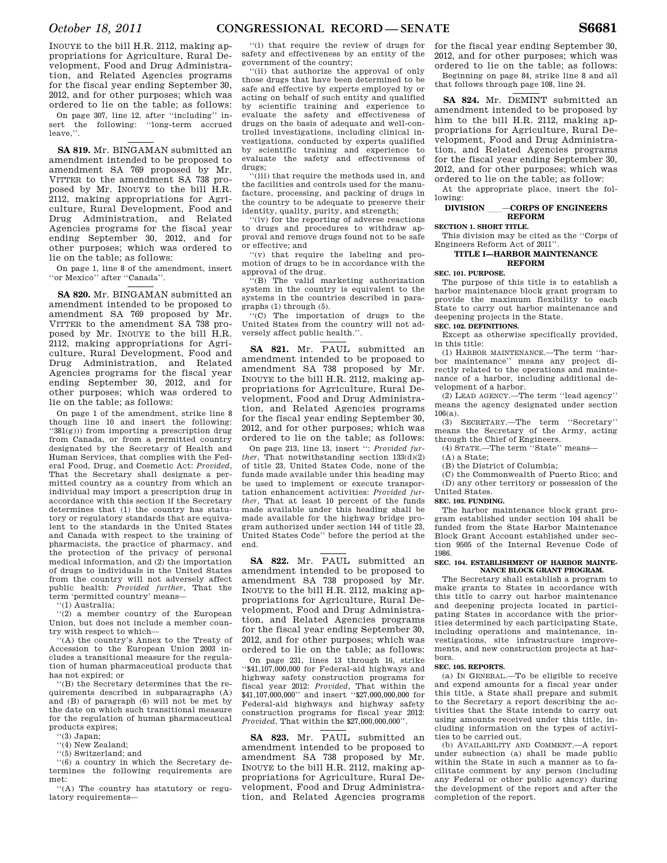INOUYE to the bill H.R. 2112, making appropriations for Agriculture, Rural Development, Food and Drug Administration, and Related Agencies programs for the fiscal year ending September 30, 2012, and for other purposes; which was ordered to lie on the table; as follows:

On page 307, line 12, after ''including'' insert the following: ''long-term accrued leave,''.

**SA 819.** Mr. BINGAMAN submitted an amendment intended to be proposed to amendment SA 769 proposed by Mr. VITTER to the amendment SA 738 proposed by Mr. INOUYE to the bill H.R. 2112, making appropriations for Agriculture, Rural Development, Food and Drug Administration, and Related Agencies programs for the fiscal year ending September 30, 2012, and for other purposes; which was ordered to lie on the table; as follows:

On page 1, line 8 of the amendment, insert ''or Mexico'' after ''Canada''.

**SA 820.** Mr. BINGAMAN submitted an amendment intended to be proposed to amendment SA 769 proposed by Mr. VITTER to the amendment SA 738 proposed by Mr. INOUYE to the bill H.R. 2112, making appropriations for Agriculture, Rural Development, Food and Drug Administration, and Related Agencies programs for the fiscal year ending September 30, 2012, and for other purposes; which was ordered to lie on the table; as follows:

On page 1 of the amendment, strike line 8 though line 10 and insert the following: ''381(g))) from importing a prescription drug from Canada, or from a permitted country designated by the Secretary of Health and Human Services, that complies with the Federal Food, Drug, and Cosmetic Act: *Provided*, That the Secretary shall designate a permitted country as a country from which an individual may import a prescription drug in accordance with this section if the Secretary determines that (1) the country has statutory or regulatory standards that are equivalent to the standards in the United States and Canada with respect to the training of pharmacists, the practice of pharmacy, and the protection of the privacy of personal medical information, and (2) the importation of drugs to individuals in the United States from the country will not adversely affect public health: *Provided further*, That the term 'permitted country' means—

''(1) Australia;

''(2) a member country of the European Union, but does not include a member country with respect to which—

''(A) the country's Annex to the Treaty of Accession to the European Union 2003 includes a transitional measure for the regulation of human pharmaceutical products that has not expired; or

''(B) the Secretary determines that the requirements described in subparagraphs (A) and (B) of paragraph (6) will not be met by the date on which such transitional measure for the regulation of human pharmaceutical products expires;

''(3) Japan;

''(4) New Zealand;

''(5) Switzerland; and

''(6) a country in which the Secretary determines the following requirements are met:

''(A) The country has statutory or regulatory requirements—

''(i) that require the review of drugs for safety and effectiveness by an entity of the government of the country;

''(ii) that authorize the approval of only those drugs that have been determined to be safe and effective by experts employed by or acting on behalf of such entity and qualified by scientific training and experience to evaluate the safety and effectiveness of drugs on the basis of adequate and well-controlled investigations, including clinical investigations, conducted by experts qualified by scientific training and experience to evaluate the safety and effectiveness of drugs;

'(iii) that require the methods used in, and the facilities and controls used for the manufacture, processing, and packing of drugs in the country to be adequate to preserve their identity, quality, purity, and strength;

''(iv) for the reporting of adverse reactions to drugs and procedures to withdraw approval and remove drugs found not to be safe or effective; and

''(v) that require the labeling and promotion of drugs to be in accordance with the approval of the drug.

''(B) The valid marketing authorization system in the country is equivalent to the systems in the countries described in paragraphs (1) through (5).

''(C) The importation of drugs to the United States from the country will not adversely affect public health.''.

**SA 821.** Mr. PAUL submitted an amendment intended to be proposed to amendment SA 738 proposed by Mr. INOUYE to the bill H.R. 2112, making appropriations for Agriculture, Rural Development, Food and Drug Administration, and Related Agencies programs for the fiscal year ending September 30, 2012, and for other purposes; which was ordered to lie on the table; as follows:

On page 213, line 13, insert '': *Provided further*, That notwithstanding section 133(d)(2) of title 23, United States Code, none of the funds made available under this heading may be used to implement or execute transportation enhancement activities: *Provided further*, That at least 10 percent of the funds made available under this heading shall be made available for the highway bridge program authorized under section 144 of title 23, United States Code'' before the period at the end.

**SA 822.** Mr. PAUL submitted an amendment intended to be proposed to amendment SA 738 proposed by Mr. INOUYE to the bill H.R. 2112, making appropriations for Agriculture, Rural Development, Food and Drug Administration, and Related Agencies programs for the fiscal year ending September 30, 2012, and for other purposes; which was ordered to lie on the table; as follows:

On page 231, lines 13 through 16, strike ''\$41,107,000,000 for Federal-aid highways and highway safety construction programs for fiscal year 2012: *Provided*, That within the \$41,107,000,000'' and insert ''\$27,000,000,000 for Federal-aid highways and highway safety construction programs for fiscal year 2012: *Provided*, That within the \$27,000,000,000''.

**SA 823.** Mr. PAUL submitted an amendment intended to be proposed to amendment SA 738 proposed by Mr. INOUYE to the bill H.R. 2112, making appropriations for Agriculture, Rural Development, Food and Drug Administration, and Related Agencies programs

for the fiscal year ending September 30, 2012, and for other purposes; which was ordered to lie on the table; as follows: Beginning on page 84, strike line 8 and all that follows through page 108, line 24.

**SA 824.** Mr. DEMINT submitted an amendment intended to be proposed by him to the bill H.R. 2112, making appropriations for Agriculture, Rural Development, Food and Drug Administration, and Related Agencies programs for the fiscal year ending September 30, 2012, and for other purposes; which was ordered to lie on the table; as follow:

At the appropriate place, insert the following:

#### **DIVISION • - CORPS OF ENGINEERS REFORM**

#### **SECTION 1. SHORT TITLE.**

This division may be cited as the ''Corps of Engineers Reform Act of 2011''.

#### **TITLE I—HARBOR MAINTENANCE REFORM**

#### **SEC. 101. PURPOSE.**

The purpose of this title is to establish a harbor maintenance block grant program to provide the maximum flexibility to each State to carry out harbor maintenance and deepening projects in the State.

### **SEC. 102. DEFINITIONS.**

Except as otherwise specifically provided, in this title:

(1) HARBOR MAINTENANCE.—The term ''harbor maintenance'' means any project directly related to the operations and maintenance of a harbor, including additional development of a harbor.

(2) LEAD AGENCY.—The term ''lead agency'' means the agency designated under section 106(a).

(3) SECRETARY.—The term ''Secretary'' means the Secretary of the Army, acting through the Chief of Engineers.

(4) STATE.—The term ''State'' means—

(A) a State;

(B) the District of Columbia;

(C) the Commonwealth of Puerto Rico; and (D) any other territory or possession of the United States.

#### **SEC. 103. FUNDING.**

The harbor maintenance block grant program established under section 104 shall be funded from the State Harbor Maintenance Block Grant Account established under section 9505 of the Internal Revenue Code of 1986.

#### **SEC. 104. ESTABLISHMENT OF HARBOR MAINTE-NANCE BLOCK GRANT PROGRAM.**

The Secretary shall establish a program to make grants to States in accordance with this title to carry out harbor maintenance and deepening projects located in participating States in accordance with the priorities determined by each participating State, including operations and maintenance, investigations, site infrastructure improvements, and new construction projects at harbors.

#### **SEC. 105. REPORTS.**

(a) IN GENERAL.—To be eligible to receive and expend amounts for a fiscal year under this title, a State shall prepare and submit to the Secretary a report describing the activities that the State intends to carry out using amounts received under this title, including information on the types of activities to be carried out.

(b) AVAILABILITY AND COMMENT.—A report under subsection (a) shall be made public within the State in such a manner as to facilitate comment by any person (including any Federal or other public agency) during the development of the report and after the completion of the report.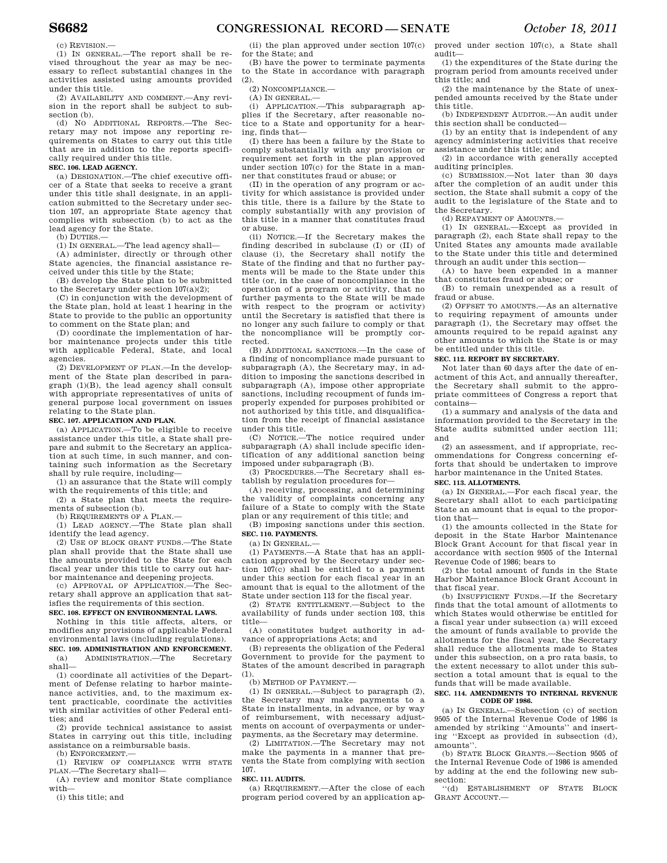(c) REVISION.—

(1) IN GENERAL.—The report shall be revised throughout the year as may be necessary to reflect substantial changes in the activities assisted using amounts provided under this title.

(2) AVAILABILITY AND COMMENT.—Any revision in the report shall be subject to subsection (b).

(d) NO ADDITIONAL REPORTS.—The Secretary may not impose any reporting requirements on States to carry out this title that are in addition to the reports specifically required under this title.

### **SEC. 106. LEAD AGENCY.**

(a) DESIGNATION.—The chief executive officer of a State that seeks to receive a grant under this title shall designate, in an application submitted to the Secretary under section 107, an appropriate State agency that complies with subsection (b) to act as the lead agency for the State.

(b) DUTIES.—

(1) IN GENERAL.—The lead agency shall—

(A) administer, directly or through other State agencies, the financial assistance received under this title by the State;

(B) develop the State plan to be submitted to the Secretary under section  $107(a)(2)$ ;

(C) in conjunction with the development of the State plan, hold at least 1 hearing in the State to provide to the public an opportunity to comment on the State plan; and

(D) coordinate the implementation of harbor maintenance projects under this title with applicable Federal, State, and local agencies.

(2) DEVELOPMENT OF PLAN.—In the development of the State plan described in paragraph (1)(B), the lead agency shall consult with appropriate representatives of units of general purpose local government on issues relating to the State plan.

#### **SEC. 107. APPLICATION AND PLAN.**

(a) APPLICATION.—To be eligible to receive assistance under this title, a State shall prepare and submit to the Secretary an application at such time, in such manner, and containing such information as the Secretary shall by rule require, including—

(1) an assurance that the State will comply with the requirements of this title; and

(2) a State plan that meets the requirements of subsection (b).

(b) REQUIREMENTS OF A PLAN-

(1) LEAD AGENCY.—The State plan shall identify the lead agency.

(2) USE OF BLOCK GRANT FUNDS.—The State plan shall provide that the State shall use the amounts provided to the State for each fiscal year under this title to carry out harbor maintenance and deepening projects.

(c) APPROVAL OF APPLICATION.—The Secretary shall approve an application that satisfies the requirements of this section. **SEC. 108. EFFECT ON ENVIRONMENTAL LAWS.** 

Nothing in this title affects, alters, or modifies any provisions of applicable Federal environmental laws (including regulations). **SEC. 109. ADMINISTRATION AND ENFORCEMENT.** 

(a) ADMINISTRATION.—The Secretary shall—

(1) coordinate all activities of the Department of Defense relating to harbor maintenance activities, and, to the maximum extent practicable, coordinate the activities with similar activities of other Federal entities; and

(2) provide technical assistance to assist States in carrying out this title, including assistance on a reimbursable basis.

(b) ENFORCEMENT.—

(1) REVIEW OF COMPLIANCE WITH STATE PLAN.—The Secretary shall—

(A) review and monitor State compliance with—

(i) this title; and

(ii) the plan approved under section 107(c) for the State; and

(B) have the power to terminate payments to the State in accordance with paragraph (2).

(2) NONCOMPLIANCE.—

(A) IN GENERAL.—

(i) APPLICATION.—This subparagraph applies if the Secretary, after reasonable notice to a State and opportunity for a hearing, finds that—

(I) there has been a failure by the State to comply substantially with any provision or requirement set forth in the plan approved under section 107(c) for the State in a manner that constitutes fraud or abuse; or

(II) in the operation of any program or activity for which assistance is provided under this title, there is a failure by the State to comply substantially with any provision of this title in a manner that constitutes fraud or abuse.

(ii) NOTICE.—If the Secretary makes the finding described in subclause (I) or (II) of clause (i), the Secretary shall notify the State of the finding and that no further payments will be made to the State under this title (or, in the case of noncompliance in the operation of a program or activity, that no further payments to the State will be made with respect to the program or activity) until the Secretary is satisfied that there is no longer any such failure to comply or that the noncompliance will be promptly corrected.

(B) ADDITIONAL SANCTIONS.—In the case of a finding of noncompliance made pursuant to subparagraph (A), the Secretary may, in addition to imposing the sanctions described in subparagraph (A), impose other appropriate sanctions, including recoupment of funds improperly expended for purposes prohibited or not authorized by this title, and disqualification from the receipt of financial assistance under this title.

(C) NOTICE.—The notice required under subparagraph (A) shall include specific identification of any additional sanction being imposed under subparagraph (B).

(3) PROCEDURES.—The Secretary shall establish by regulation procedures for—

(A) receiving, processing, and determining the validity of complaints concerning any failure of a State to comply with the State plan or any requirement of this title; and

(B) imposing sanctions under this section. **SEC. 110. PAYMENTS.** 

 $(a)$  In GENERAL.

(1) PAYMENTS.—A State that has an application approved by the Secretary under section 107(c) shall be entitled to a payment under this section for each fiscal year in an amount that is equal to the allotment of the State under section 113 for the fiscal year.

(2) STATE ENTITLEMENT. Subject to the availability of funds under section 103, this title—

(A) constitutes budget authority in advance of appropriations Acts; and

(B) represents the obligation of the Federal Government to provide for the payment to States of the amount described in paragraph (1).

(b) METHOD OF PAYMENT.—

(1) IN GENERAL.—Subject to paragraph (2), the Secretary may make payments to a State in installments, in advance, or by way of reimbursement, with necessary adjustments on account of overpayments or underpayments, as the Secretary may determine.

(2) LIMITATION.—The Secretary may not make the payments in a manner that prevents the State from complying with section 107.

#### **SEC. 111. AUDITS.**

(a) REQUIREMENT.—After the close of each program period covered by an application approved under section 107(c), a State shall audit— (1) the expenditures of the State during the

program period from amounts received under this title; and

(2) the maintenance by the State of unexpended amounts received by the State under this title.

(b) INDEPENDENT AUDITOR.—An audit under this section shall be conducted—

(1) by an entity that is independent of any agency administering activities that receive assistance under this title; and

(2) in accordance with generally accepted auditing principles.

(c) SUBMISSION.—Not later than 30 days after the completion of an audit under this section, the State shall submit a copy of the audit to the legislature of the State and to the Secretary.

(d) REPAYMENT OF AMOUNTS.—

(1) IN GENERAL.—Except as provided in paragraph (2), each State shall repay to the United States any amounts made available to the State under this title and determined through an audit under this section—

(A) to have been expended in a manner that constitutes fraud or abuse; or

(B) to remain unexpended as a result of fraud or abuse.

(2) OFFSET TO AMOUNTS.—As an alternative to requiring repayment of amounts under paragraph (1), the Secretary may offset the amounts required to be repaid against any other amounts to which the State is or may be entitled under this title.

#### **SEC. 112. REPORT BY SECRETARY.**

Not later than 60 days after the date of enactment of this Act, and annually thereafter, the Secretary shall submit to the appropriate committees of Congress a report that contains—

(1) a summary and analysis of the data and information provided to the Secretary in the State audits submitted under section 111; and

(2) an assessment, and if appropriate, recommendations for Congress concerning efforts that should be undertaken to improve harbor maintenance in the United States.

#### **SEC. 113. ALLOTMENTS.**

(a) IN GENERAL.—For each fiscal year, the Secretary shall allot to each participating State an amount that is equal to the proportion that—

(1) the amounts collected in the State for deposit in the State Harbor Maintenance Block Grant Account for that fiscal year in accordance with section 9505 of the Internal Revenue Code of 1986; bears to

(2) the total amount of funds in the State Harbor Maintenance Block Grant Account in that fiscal year.

(b) INSUFFICIENT FUNDS.—If the Secretary finds that the total amount of allotments to which States would otherwise be entitled for a fiscal year under subsection (a) will exceed the amount of funds available to provide the allotments for the fiscal year, the Secretary shall reduce the allotments made to States under this subsection, on a pro rata basis, to the extent necessary to allot under this subsection a total amount that is equal to the funds that will be made available.

#### **SEC. 114. AMENDMENTS TO INTERNAL REVENUE CODE OF 1986.**

(a) IN GENERAL.—Subsection (c) of section 9505 of the Internal Revenue Code of 1986 is amended by striking ''Amounts'' and inserting ''Except as provided in subsection (d), amounts''.

(b) STATE BLOCK GRANTS.—Section 9505 of the Internal Revenue Code of 1986 is amended by adding at the end the following new subsection:

''(d) ESTABLISHMENT OF STATE BLOCK GRANT ACCOUNT.—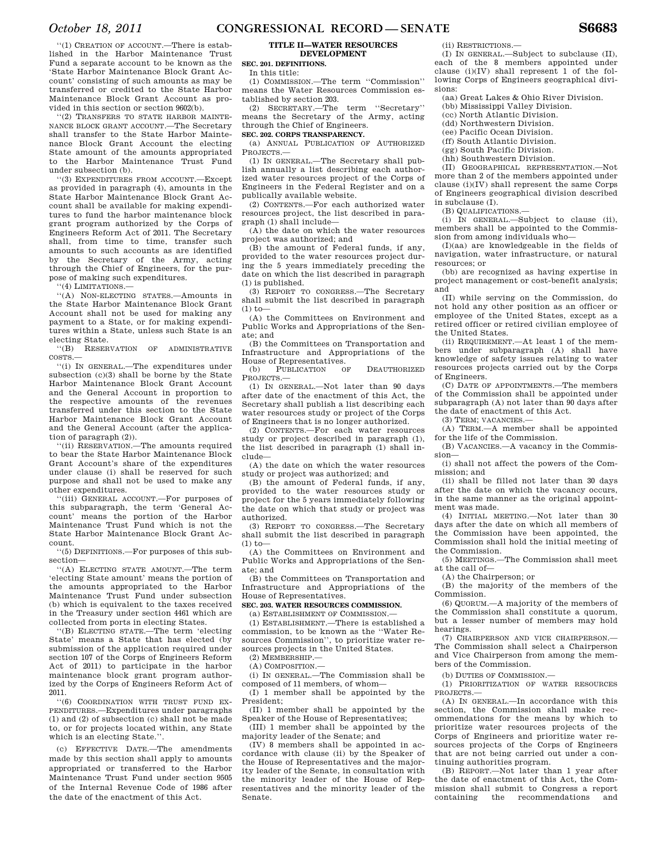''(1) CREATION OF ACCOUNT.—There is established in the Harbor Maintenance Trust Fund a separate account to be known as the 'State Harbor Maintenance Block Grant Account' consisting of such amounts as may be transferred or credited to the State Harbor Maintenance Block Grant Account as provided in this section or section 9602(b).

''(2) TRANSFERS TO STATE HARBOR MAINTE-NANCE BLOCK GRANT ACCOUNT.—The Secretary shall transfer to the State Harbor Maintenance Block Grant Account the electing State amount of the amounts appropriated to the Harbor Maintenance Trust Fund under subsection (b).

''(3) EXPENDITURES FROM ACCOUNT.—Except as provided in paragraph (4), amounts in the State Harbor Maintenance Block Grant Account shall be available for making expenditures to fund the harbor maintenance block grant program authorized by the Corps of Engineers Reform Act of 2011. The Secretary shall, from time to time, transfer such amounts to such accounts as are identified by the Secretary of the Army, acting through the Chief of Engineers, for the purpose of making such expenditures.

''(4) LIMITATIONS.—

''(A) NON-ELECTING STATES.—Amounts in the State Harbor Maintenance Block Grant Account shall not be used for making any payment to a State, or for making expenditures within a State, unless such State is an electing State.

''(B) RESERVATION OF ADMINISTRATIVE COSTS.—

''(i) IN GENERAL.—The expenditures under subsection (c)(3) shall be borne by the State Harbor Maintenance Block Grant Account and the General Account in proportion to the respective amounts of the revenues transferred under this section to the State Harbor Maintenance Block Grant Account and the General Account (after the application of paragraph (2)).

''(ii) RESERVATION.—The amounts required to bear the State Harbor Maintenance Block Grant Account's share of the expenditures under clause (i) shall be reserved for such purpose and shall not be used to make any other expenditures.

'(iii) GENERAL ACCOUNT.—For purposes of this subparagraph, the term 'General Account' means the portion of the Harbor Maintenance Trust Fund which is not the State Harbor Maintenance Block Grant Account.

''(5) DEFINITIONS.—For purposes of this subsection—

''(A) ELECTING STATE AMOUNT.—The term 'electing State amount' means the portion of the amounts appropriated to the Harbor Maintenance Trust Fund under subsection (b) which is equivalent to the taxes received in the Treasury under section 4461 which are collected from ports in electing States.

''(B) ELECTING STATE.—The term 'electing State' means a State that has elected (by submission of the application required under section 107 of the Corps of Engineers Reform Act of 2011) to participate in the harbor maintenance block grant program authorized by the Corps of Engineers Reform Act of 2011.

''(6) COORDINATION WITH TRUST FUND EX-PENDITURES.—Expenditures under paragraphs (1) and (2) of subsection (c) shall not be made to, or for projects located within, any State which is an electing State.''.

(c) EFFECTIVE DATE.—The amendments made by this section shall apply to amounts appropriated or transferred to the Harbor Maintenance Trust Fund under section 9505 of the Internal Revenue Code of 1986 after the date of the enactment of this Act.

#### **TITLE II—WATER RESOURCES DEVELOPMENT**

**SEC. 201. DEFINITIONS.**  In this title:

(1) COMMISSION.—The term ''Commission'' means the Water Resources Commission established by section 203.

(2) SECRETARY.—The term ''Secretary'' means the Secretary of the Army, acting through the Chief of Engineers.

#### **SEC. 202. CORPS TRANSPARENCY.**

(a) ANNUAL PUBLICATION OF AUTHORIZED PROJECTS.—

(1) IN GENERAL.—The Secretary shall publish annually a list describing each authorized water resources project of the Corps of Engineers in the Federal Register and on a publically available website.

(2) CONTENTS.—For each authorized water resources project, the list described in paragraph (1) shall include—

(A) the date on which the water resources project was authorized; and

(B) the amount of Federal funds, if any, provided to the water resources project during the 5 years immediately preceding the date on which the list described in paragraph (1) is published.

(3) REPORT TO CONGRESS.—The Secretary shall submit the list described in paragraph  $(1)$  to-

(A) the Committees on Environment and Public Works and Appropriations of the Senate; and

(B) the Committees on Transportation and Infrastructure and Appropriations of the House of Representatives.<br>(b) PUBLICATION OF

DEAUTHORIZED PROJECTS —

(1) IN GENERAL.—Not later than 90 days after date of the enactment of this Act, the Secretary shall publish a list describing each water resources study or project of the Corps of Engineers that is no longer authorized.

(2) CONTENTS.—For each water resources study or project described in paragraph (1), the list described in paragraph (1) shall include—

(A) the date on which the water resources study or project was authorized; and

(B) the amount of Federal funds, if any, provided to the water resources study or project for the 5 years immediately following the date on which that study or project was authorized.

(3) REPORT TO CONGRESS.—The Secretary shall submit the list described in paragraph  $(1)$  to-

(A) the Committees on Environment and Public Works and Appropriations of the Senate; and

(B) the Committees on Transportation and Infrastructure and Appropriations of the House of Representatives.

#### **SEC. 203. WATER RESOURCES COMMISSION.**

(a) ESTABLISHMENT OF COMMISSION.—

 $(1)$  ESTABLISHMENT —There is established a commission, to be known as the ''Water Resources Commission'', to prioritize water resources projects in the United States.  $(2)$  MEMBERSHIP $-$ 

(A) COMPOSITION.—

(i) IN GENERAL.—The Commission shall be composed of 11 members, of whom—

(I) 1 member shall be appointed by the President;

(II) 1 member shall be appointed by the Speaker of the House of Representatives;

(III) 1 member shall be appointed by the majority leader of the Senate; and

(IV) 8 members shall be appointed in accordance with clause (ii) by the Speaker of the House of Representatives and the majority leader of the Senate, in consultation with the minority leader of the House of Representatives and the minority leader of the Senate.

(ii) RESTRICTIONS.

(I) IN GENERAL.—Subject to subclause (II), each of the 8 members appointed under clause (i)(IV) shall represent 1 of the following Corps of Engineers geographical divisions:

(aa) Great Lakes & Ohio River Division.

- (bb) Mississippi Valley Division.
- (cc) North Atlantic Division.
- (dd) Northwestern Division. (ee) Pacific Ocean Division.
- (ff) South Atlantic Division.
- (gg) South Pacific Division.
- (hh) Southwestern Division.

(II) GEOGRAPHICAL REPRESENTATION.—Not more than 2 of the members appointed under clause (i)(IV) shall represent the same Corps of Engineers geographical division described in subclause (I).

(B) QUALIFICATIONS.—

(i) IN GENERAL.—Subject to clause (ii), members shall be appointed to the Commission from among individuals who—

(I)(aa) are knowledgeable in the fields of navigation, water infrastructure, or natural resources; or

(bb) are recognized as having expertise in project management or cost-benefit analysis; and

(II) while serving on the Commission, do not hold any other position as an officer or employee of the United States, except as a retired officer or retired civilian employee of the United States.

(ii) REQUIREMENT.—At least 1 of the members under subparagraph (A) shall have knowledge of safety issues relating to water resources projects carried out by the Corps of Engineers.

(C) DATE OF APPOINTMENTS.—The members of the Commission shall be appointed under subparagraph (A) not later than 90 days after the date of enactment of this Act.

(3) TERM; VACANCIES.—

(A) TERM.—A member shall be appointed for the life of the Commission.

(B) VACANCIES.—A vacancy in the Commission—

(i) shall not affect the powers of the Commission; and

(ii) shall be filled not later than 30 days after the date on which the vacancy occurs, in the same manner as the original appointment was made.

(4) INITIAL MEETING.—Not later than 30 days after the date on which all members of the Commission have been appointed, the Commission shall hold the initial meeting of the Commission.

(5) MEETINGS.—The Commission shall meet at the call of—

(A) the Chairperson; or

(B) the majority of the members of the Commission.

(6) QUORUM.—A majority of the members of the Commission shall constitute a quorum, but a lesser number of members may hold hearings.

(7) CHAIRPERSON AND VICE CHAIRPERSON.—

The Commission shall select a Chairperson and Vice Chairperson from among the members of the Commission.

(b) DUTIES OF COMMISSION —

(1) PRIORITIZATION OF WATER RESOURCES PROJECTS.—

(A) IN GENERAL.—In accordance with this section, the Commission shall make recommendations for the means by which to prioritize water resources projects of the Corps of Engineers and prioritize water resources projects of the Corps of Engineers that are not being carried out under a continuing authorities program.

(B) REPORT.—Not later than 1 year after the date of enactment of this Act, the Commission shall submit to Congress a report containing the recommendations and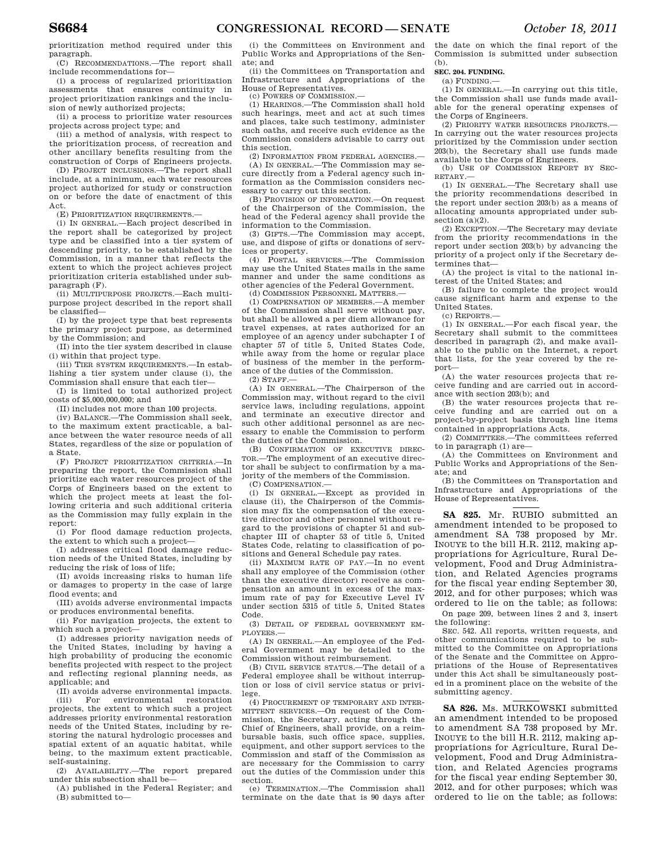prioritization method required under this paragraph.

(C) RECOMMENDATIONS.—The report shall include recommendations for—

(i) a process of regularized prioritization assessments that ensures continuity in project prioritization rankings and the inclusion of newly authorized projects;

(ii) a process to prioritize water resources projects across project type; and

(iii) a method of analysis, with respect to the prioritization process, of recreation and other ancillary benefits resulting from the construction of Corps of Engineers projects.

(D) PROJECT INCLUSIONS.—The report shall include, at a minimum, each water resources project authorized for study or construction on or before the date of enactment of this Act.

(E) PRIORITIZATION REQUIREMENTS.—

(i) IN GENERAL.—Each project described in the report shall be categorized by project type and be classified into a tier system of descending priority, to be established by the Commission, in a manner that reflects the extent to which the project achieves project prioritization criteria established under subparagraph (F).

(ii) MULTIPURPOSE PROJECTS.—Each multipurpose project described in the report shall be classified—

(I) by the project type that best represents the primary project purpose, as determined by the Commission; and

(II) into the tier system described in clause (i) within that project type.

(iii) TIER SYSTEM REQUIREMENTS.—In establishing a tier system under clause (i), the Commission shall ensure that each tier—

(I) is limited to total authorized project costs of \$5,000,000,000; and

(II) includes not more than 100 projects.

(iv) BALANCE.—The Commission shall seek, to the maximum extent practicable, a balance between the water resource needs of all States, regardless of the size or population of a State.

(F) PROJECT PRIORITIZATION CRITERIA.—In preparing the report, the Commission shall prioritize each water resources project of the Corps of Engineers based on the extent to which the project meets at least the following criteria and such additional criteria as the Commission may fully explain in the report:

(i) For flood damage reduction projects, the extent to which such a project—

(I) addresses critical flood damage reduction needs of the United States, including by reducing the risk of loss of life;

(II) avoids increasing risks to human life or damages to property in the case of large flood events; and

(III) avoids adverse environmental impacts or produces environmental benefits.

(ii) For navigation projects, the extent to which such a project—

(I) addresses priority navigation needs of the United States, including by having a high probability of producing the economic benefits projected with respect to the project and reflecting regional planning needs, as applicable; and

(II) avoids adverse environmental impacts.

(iii) For environmental restoration projects, the extent to which such a project addresses priority environmental restoration needs of the United States, including by restoring the natural hydrologic processes and spatial extent of an aquatic habitat, while being, to the maximum extent practicable, self-sustaining.

(2) AVAILABILITY.—The report prepared under this subsection shall be—

(A) published in the Federal Register; and (B) submitted to—

(i) the Committees on Environment and Public Works and Appropriations of the Senate; and

(ii) the Committees on Transportation and Infrastructure and Appropriations of the House of Representatives.

(c) POWERS OF COMMISSION.—

(1) HEARINGS.—The Commission shall hold such hearings, meet and act at such times and places, take such testimony, administer such oaths, and receive such evidence as the Commission considers advisable to carry out this section.

(2) INFORMATION FROM FEDERAL AGENCIES.—

(A) IN GENERAL.—The Commission may secure directly from a Federal agency such information as the Commission considers necessary to carry out this section.

(B) PROVISION OF INFORMATION.—On request of the Chairperson of the Commission, the head of the Federal agency shall provide the information to the Commission.

(3) GIFTS.—The Commission may accept, use, and dispose of gifts or donations of services or property.

(4) POSTAL SERVICES.—The Commission may use the United States mails in the same manner and under the same conditions as other agencies of the Federal Government.

(d) COMMISSION PERSONNEL MATTERS.—

(1) COMPENSATION OF MEMBERS.—A member of the Commission shall serve without pay, but shall be allowed a per diem allowance for travel expenses, at rates authorized for an employee of an agency under subchapter I of chapter 57 of title 5, United States Code, while away from the home or regular place of business of the member in the performance of the duties of the Commission.

(2) STAFF.—

(A) IN GENERAL.—The Chairperson of the Commission may, without regard to the civil service laws, including regulations, appoint and terminate an executive director and such other additional personnel as are necessary to enable the Commission to perform the duties of the Commission.

(B) CONFIRMATION OF EXECUTIVE DIREC-TOR.—The employment of an executive director shall be subject to confirmation by a majority of the members of the Commission.

(C) COMPENSATION.—

(i) IN GENERAL.—Except as provided in clause (ii), the Chairperson of the Commission may fix the compensation of the executive director and other personnel without regard to the provisions of chapter 51 and subchapter III of chapter 53 of title 5, United States Code, relating to classification of positions and General Schedule pay rates.

(ii) MAXIMUM RATE OF PAY.—In no event shall any employee of the Commission (other than the executive director) receive as compensation an amount in excess of the maximum rate of pay for Executive Level IV under section 5315 of title 5, United States Code.

(3) DETAIL OF FEDERAL GOVERNMENT EM-PLOYEES.—

(A) IN GENERAL.—An employee of the Federal Government may be detailed to the Commission without reimbursement.

(B) CIVIL SERVICE STATUS.—The detail of a Federal employee shall be without interruption or loss of civil service status or privilege.

(4) PROCUREMENT OF TEMPORARY AND INTER-MITTENT SERVICES.—On request of the Commission, the Secretary, acting through the Chief of Engineers, shall provide, on a reimbursable basis, such office space, supplies, equipment, and other support services to the Commission and staff of the Commission as are necessary for the Commission to carry out the duties of the Commission under this section.

(e) TERMINATION.—The Commission shall terminate on the date that is 90 days after the date on which the final report of the Commission is submitted under subsection (b).

**SEC. 204. FUNDING.** 

(a) FUNDING.—

(1) IN GENERAL.—In carrying out this title, the Commission shall use funds made available for the general operating expenses of the Corps of Engineers.

(2) PRIORITY WATER RESOURCES PROJECTS.— In carrying out the water resources projects prioritized by the Commission under section 203(b), the Secretary shall use funds made available to the Corps of Engineers.

(b) USE OF COMMISSION REPORT BY SEC-RETARY.—

(1) IN GENERAL.—The Secretary shall use the priority recommendations described in the report under section 203(b) as a means of allocating amounts appropriated under subsection (a)(2).

(2) EXCEPTION.—The Secretary may deviate from the priority recommendations in the report under section 203(b) by advancing the priority of a project only if the Secretary determines that—

(A) the project is vital to the national interest of the United States; and

(B) failure to complete the project would cause significant harm and expense to the United States.

 $(c)$  REPORTS  $-$ 

(1) IN GENERAL.—For each fiscal year, the Secretary shall submit to the committees described in paragraph (2), and make available to the public on the Internet, a report that lists, for the year covered by the report—

(A) the water resources projects that receive funding and are carried out in accordance with section 203(b); and

(B) the water resources projects that receive funding and are carried out on a project-by-project basis through line items contained in appropriations Acts.

(2) COMMITTEES.—The committees referred to in paragraph (1) are—

(A) the Committees on Environment and Public Works and Appropriations of the Senate; and

(B) the Committees on Transportation and Infrastructure and Appropriations of the House of Representatives.

**SA 825.** Mr. RUBIO submitted an amendment intended to be proposed to amendment SA 738 proposed by Mr. INOUYE to the bill H.R. 2112, making appropriations for Agriculture, Rural Development, Food and Drug Administration, and Related Agencies programs for the fiscal year ending September 30, 2012, and for other purposes; which was ordered to lie on the table; as follows: On page 209, between lines 2 and 3, insert

the following:

SEC. 542. All reports, written requests, and other communications required to be submitted to the Committee on Appropriations of the Senate and the Committee on Appropriations of the House of Representatives under this Act shall be simultaneously posted in a prominent place on the website of the submitting agency.

**SA 826.** Ms. MURKOWSKI submitted an amendment intended to be proposed to amendment SA 738 proposed by Mr. INOUYE to the bill H.R. 2112, making appropriations for Agriculture, Rural Development, Food and Drug Administration, and Related Agencies programs for the fiscal year ending September 30, 2012, and for other purposes; which was ordered to lie on the table; as follows: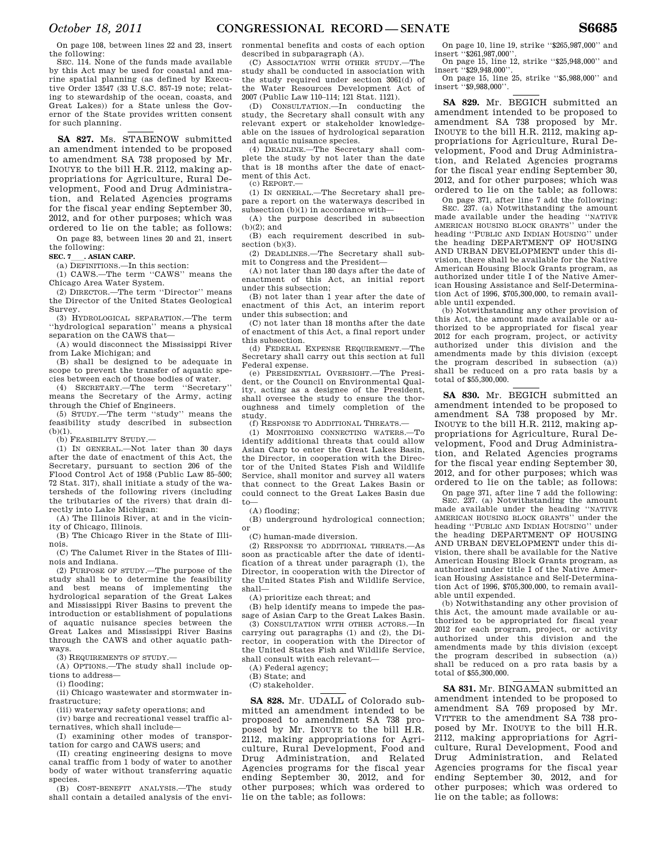On page 108, between lines 22 and 23, insert the following:

SEC. 114. None of the funds made available by this Act may be used for coastal and marine spatial planning (as defined by Executive Order 13547 (33 U.S.C. 857-19 note; relating to stewardship of the ocean, coasts, and Great Lakes)) for a State unless the Governor of the State provides written consent for such planning.

**SA 827.** Ms. STABENOW submitted an amendment intended to be proposed to amendment SA 738 proposed by Mr. INOUYE to the bill H.R. 2112, making appropriations for Agriculture, Rural Development, Food and Drug Administration, and Related Agencies programs for the fiscal year ending September 30, 2012, and for other purposes; which was ordered to lie on the table; as follows: On page 83, between lines 20 and 21, insert

the following:

**SEC. 7 .** ASIAN CARP.

(a) DEFINITIONS.—In this section: (1) CAWS.—The term ''CAWS'' means the

Chicago Area Water System. (2) DIRECTOR.—The term ''Director'' means the Director of the United States Geological

Survey. (3) HYDROLOGICAL SEPARATION.—The term ''hydrological separation'' means a physical

separation on the CAWS that— (A) would disconnect the Mississippi River

from Lake Michigan; and (B) shall be designed to be adequate in

scope to prevent the transfer of aquatic species between each of those bodies of water.

(4) SECRETARY.—The term ''Secretary'' means the Secretary of the Army, acting through the Chief of Engineers.

(5) STUDY.—The term ''study'' means the feasibility study described in subsection  $(b)(1)$ .

(b) FEASIBILITY STUDY.—

(1) IN GENERAL.—Not later than 30 days after the date of enactment of this Act, the Secretary, pursuant to section 206 of the Flood Control Act of 1958 (Public Law 85–500; 72 Stat. 317), shall initiate a study of the watersheds of the following rivers (including the tributaries of the rivers) that drain directly into Lake Michigan:

(A) The Illinois River, at and in the vicinity of Chicago, Illinois.

(B) The Chicago River in the State of Illinois.

(C) The Calumet River in the States of Illinois and Indiana.

(2) PURPOSE OF STUDY.—The purpose of the study shall be to determine the feasibility and best means of implementing the hydrological separation of the Great Lakes and Mississippi River Basins to prevent the introduction or establishment of populations of aquatic nuisance species between the Great Lakes and Mississippi River Basins through the CAWS and other aquatic pathways.

(3) REQUIREMENTS OF STUDY.—

(A) OPTIONS.—The study shall include options to address—

(i) flooding;

(ii) Chicago wastewater and stormwater infrastructure;

(iii) waterway safety operations; and

(iv) barge and recreational vessel traffic alternatives, which shall include—

(I) examining other modes of transportation for cargo and CAWS users; and

(II) creating engineering designs to move canal traffic from 1 body of water to another body of water without transferring aquatic species.

(B) COST-BENEFIT ANALYSIS.—The study shall contain a detailed analysis of the environmental benefits and costs of each option described in subparagraph (A).

(C) ASSOCIATION WITH OTHER STUDY.—The study shall be conducted in association with the study required under section 3061(d) of the Water Resources Development Act of 2007 (Public Law 110–114; 121 Stat. 1121).

(D) CONSULTATION.—In conducting the study, the Secretary shall consult with any relevant expert or stakeholder knowledgeable on the issues of hydrological separation and aquatic nuisance species.

(4) DEADLINE.—The Secretary shall complete the study by not later than the date that is 18 months after the date of enactment of this Act.

(c) REPORT.—

(1) IN GENERAL.—The Secretary shall prepare a report on the waterways described in  $subsection (b)(1)$  in accordance with-

(A) the purpose described in subsection  $(b)(2)$ ; and

(B) each requirement described in subsection (b)(3).

(2) DEADLINES.—The Secretary shall submit to Congress and the President—

(A) not later than 180 days after the date of enactment of this Act, an initial report under this subsection;

(B) not later than 1 year after the date of enactment of this Act, an interim report under this subsection; and

(C) not later than 18 months after the date of enactment of this Act, a final report under this subsection.

(d) FEDERAL EXPENSE REQUIREMENT.—The Secretary shall carry out this section at full Federal expense.

(e) PRESIDENTIAL OVERSIGHT.—The President, or the Council on Environmental Quality, acting as a designee of the President, shall oversee the study to ensure the thoroughness and timely completion of the study.

(f) RESPONSE TO ADDITIONAL THREATS.—

(1) MONITORING CONNECTING WATERS.—To identify additional threats that could allow Asian Carp to enter the Great Lakes Basin, the Director, in cooperation with the Director of the United States Fish and Wildlife Service, shall monitor and survey all waters that connect to the Great Lakes Basin or could connect to the Great Lakes Basin due to—

(A) flooding;

(B) underground hydrological connection; or

(C) human-made diversion.

(2) RESPONSE TO ADDITIONAL THREATS.—As soon as practicable after the date of identification of a threat under paragraph (1), the Director, in cooperation with the Director of the United States Fish and Wildlife Service, shall—

(A) prioritize each threat; and

(B) help identify means to impede the passage of Asian Carp to the Great Lakes Basin.

(3) CONSULTATION WITH OTHER ACTORS.—In carrying out paragraphs (1) and (2), the Director, in cooperation with the Director of the United States Fish and Wildlife Service, shall consult with each relevant—

(A) Federal agency;

(B) State; and

(C) stakeholder.

**SA 828.** Mr. UDALL of Colorado submitted an amendment intended to be proposed to amendment SA 738 proposed by Mr. INOUYE to the bill H.R. 2112, making appropriations for Agriculture, Rural Development, Food and Drug Administration, and Related Agencies programs for the fiscal year ending September 30, 2012, and for other purposes; which was ordered to lie on the table; as follows:

On page 10, line 19, strike ''\$265,987,000'' and insert ''\$261,987,000''.

On page 15, line 12, strike ''\$25,948,000'' and insert '\$29,948,000'

On page 15, line 25, strike ''\$5,988,000'' and insert ''\$9,988,000''.

**SA 829.** Mr. BEGICH submitted an amendment intended to be proposed to amendment SA 738 proposed by Mr. INOUYE to the bill H.R. 2112, making appropriations for Agriculture, Rural Development, Food and Drug Administration, and Related Agencies programs for the fiscal year ending September 30, 2012, and for other purposes; which was ordered to lie on the table; as follows:

On page 371, after line 7 add the following: SEC. 237. (a) Notwithstanding the amount made available under the heading ''NATIVE AMERICAN HOUSING BLOCK GRANTS'' under the heading ''PUBLIC AND INDIAN HOUSING'' under the heading DEPARTMENT OF HOUSING AND URBAN DEVELOPMENT under this division, there shall be available for the Native American Housing Block Grants program, as authorized under title I of the Native American Housing Assistance and Self-Determination Act of 1996, \$705,300,000, to remain available until expended.

(b) Notwithstanding any other provision of this Act, the amount made available or authorized to be appropriated for fiscal year 2012 for each program, project, or activity authorized under this division and the amendments made by this division (except the program described in subsection (a)) shall be reduced on a pro rata basis by a total of \$55,300,000.

**SA 830.** Mr. BEGICH submitted an amendment intended to be proposed to amendment SA 738 proposed by Mr. INOUYE to the bill H.R. 2112, making appropriations for Agriculture, Rural Development, Food and Drug Administration, and Related Agencies programs for the fiscal year ending September 30, 2012, and for other purposes; which was ordered to lie on the table; as follows:

On page 371, after line 7 add the following: SEC. 237. (a) Notwithstanding the amount made available under the heading ''NATIVE AMERICAN HOUSING BLOCK GRANTS'' under the heading ''PUBLIC AND INDIAN HOUSING'' under the heading DEPARTMENT OF HOUSING AND URBAN DEVELOPMENT under this division, there shall be available for the Native American Housing Block Grants program, as authorized under title I of the Native American Housing Assistance and Self-Determination Act of 1996, \$705,300,000, to remain available until expended.

(b) Notwithstanding any other provision of this Act, the amount made available or authorized to be appropriated for fiscal year 2012 for each program, project, or activity authorized under this amendments made by this division (except the program described in subsection (a)) shall be reduced on a pro rata basis by a total of \$55,300,000.

**SA 831.** Mr. BINGAMAN submitted an amendment intended to be proposed to amendment SA 769 proposed by Mr. VITTER to the amendment SA 738 proposed by Mr. INOUYE to the bill H.R. 2112, making appropriations for Agriculture, Rural Development, Food and Drug Administration, and Related Agencies programs for the fiscal year ending September 30, 2012, and for other purposes; which was ordered to lie on the table; as follows: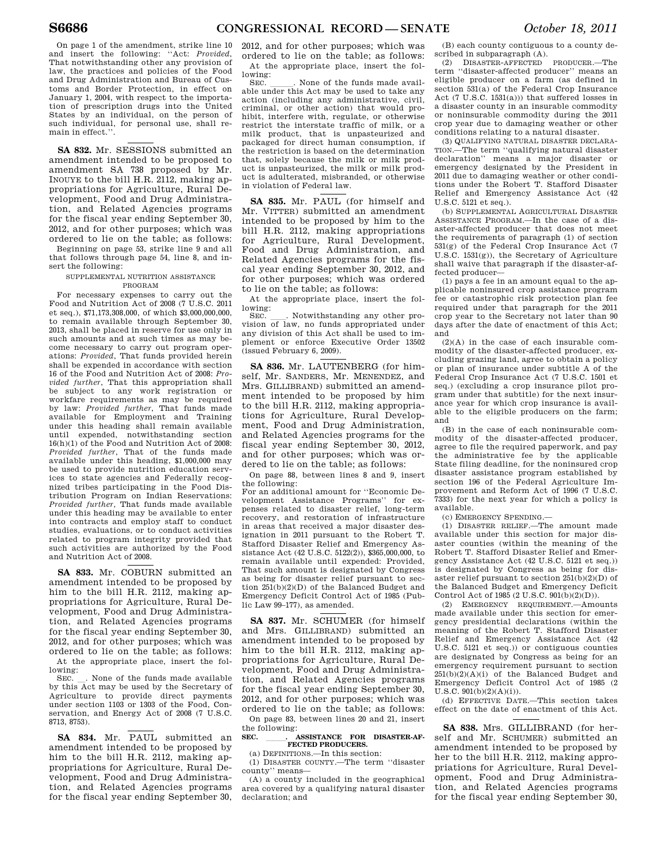On page 1 of the amendment, strike line 10 and insert the following: ''Act: *Provided*, That notwithstanding other any provision of law, the practices and policies of the Food and Drug Administration and Bureau of Customs and Border Protection, in effect on January 1, 2004, with respect to the importation of prescription drugs into the United States by an individual, on the person of such individual, for personal use, shall remain in effect.''.

**SA 832.** Mr. SESSIONS submitted an amendment intended to be proposed to amendment SA 738 proposed by Mr. INOUYE to the bill H.R. 2112, making appropriations for Agriculture, Rural Development, Food and Drug Administration, and Related Agencies programs for the fiscal year ending September 30, 2012, and for other purposes; which was ordered to lie on the table; as follows: Beginning on page 53, strike line 9 and all

that follows through page 54, line 8, and insert the following:

#### SUPPLEMENTAL NUTRITION ASSISTANCE PROGRAM

For necessary expenses to carry out the Food and Nutrition Act of 2008 (7 U.S.C. 2011 et seq.), \$71,173,308,000, of which \$3,000,000,000, to remain available through September 30, 2013, shall be placed in reserve for use only in such amounts and at such times as may become necessary to carry out program operations: *Provided*, That funds provided herein shall be expended in accordance with section 16 of the Food and Nutrition Act of 2008: *Provided further*, That this appropriation shall be subject to any work registration or workfare requirements as may be required by law: *Provided further*, That funds made available for Employment and Training under this heading shall remain available until expended, notwithstanding section 16(h)(1) of the Food and Nutrition Act of 2008: *Provided further*, That of the funds made available under this heading, \$1,000,000 may be used to provide nutrition education services to state agencies and Federally recognized tribes participating in the Food Distribution Program on Indian Reservations: *Provided further*, That funds made available under this heading may be available to enter into contracts and employ staff to conduct studies, evaluations, or to conduct activities related to program integrity provided that such activities are authorized by the Food and Nutrition Act of 2008.

**SA 833.** Mr. COBURN submitted an amendment intended to be proposed by him to the bill H.R. 2112, making appropriations for Agriculture, Rural Development, Food and Drug Administration, and Related Agencies programs for the fiscal year ending September 30, 2012, and for other purposes; which was ordered to lie on the table; as follows: At the appropriate place, insert the fol-

lowing:<br>SEC. None of the funds made available by this Act may be used by the Secretary of

Agriculture to provide direct payments under section 1103 or 1303 of the Food, Conservation, and Energy Act of 2008 (7 U.S.C. 8713, 8753).

**SA 834.** Mr. PAUL submitted an amendment intended to be proposed by him to the bill H.R. 2112, making appropriations for Agriculture, Rural Development, Food and Drug Administration, and Related Agencies programs for the fiscal year ending September 30, 2012, and for other purposes; which was ordered to lie on the table; as follows:

At the appropriate place, insert the following:<br>SEC.

SEC.  $\Box$ . None of the funds made available under this Act may be used to take any action (including any administrative, civil, criminal, or other action) that would prohibit, interfere with, regulate, or otherwise restrict the interstate traffic of milk, or a milk product, that is unpasteurized and packaged for direct human consumption, if the restriction is based on the determination that, solely because the milk or milk product is unpasteurized, the milk or milk product is adulterated, misbranded, or otherwise in violation of Federal law.

**SA 835.** Mr. PAUL (for himself and Mr. VITTER) submitted an amendment intended to be proposed by him to the bill H.R. 2112, making appropriations for Agriculture, Rural Development, Food and Drug Administration, and Related Agencies programs for the fiscal year ending September 30, 2012, and for other purposes; which was ordered to lie on the table; as follows:

At the appropriate place, insert the following:<br>SEC.

SEC. \_\_\_\_. Notwithstanding any other provision of law, no funds appropriated under any division of this Act shall be used to implement or enforce Executive Order 13502 (issued February 6, 2009).

**SA 836.** Mr. LAUTENBERG (for himself, Mr. SANDERS, Mr. MENENDEZ, and Mrs. GILLIBRAND) submitted an amendment intended to be proposed by him to the bill H.R. 2112, making appropriations for Agriculture, Rural Development, Food and Drug Administration, and Related Agencies programs for the fiscal year ending September 30, 2012, and for other purposes; which was ordered to lie on the table; as follows:

On page 88, between lines 8 and 9, insert the following:

For an additional amount for ''Economic Development Assistance Programs'' for expenses related to disaster relief, long-term recovery, and restoration of infrastructure in areas that received a major disaster designation in 2011 pursuant to the Robert T. Stafford Disaster Relief and Emergency Assistance Act (42 U.S.C. 5122(2)), \$365,000,000, to remain available until expended: Provided, That such amount is designated by Congress as being for disaster relief pursuant to section  $25I(b)(2)(D)$  of the Balanced Budget and Emergency Deficit Control Act of 1985 (Public Law 99–177), as amended.

**SA 837.** Mr. SCHUMER (for himself and Mrs. GILLIBRAND) submitted an amendment intended to be proposed by him to the bill H.R. 2112, making appropriations for Agriculture, Rural Development, Food and Drug Administration, and Related Agencies programs for the fiscal year ending September 30, 2012, and for other purposes; which was ordered to lie on the table; as follows: On page 83, between lines 20 and 21, insert

the following:<br>SEC. **ASSISTANCE FOR DISASTER-AF-**

# **FECTED PRODUCERS.**

(a) DEFINITIONS.—In this section: (1) DISASTER COUNTY.—The term ''disaster county'' means—

(A) a county included in the geographical area covered by a qualifying natural disaster declaration; and

(B) each county contiguous to a county described in subparagraph (A).

(2) DISASTER-AFFECTED PRODUCER.—The term ''disaster-affected producer'' means an eligible producer on a farm (as defined in section 531(a) of the Federal Crop Insurance Act (7 U.S.C. 1531(a))) that suffered losses in a disaster county in an insurable commodity or noninsurable commodity during the 2011 crop year due to damaging weather or other conditions relating to a natural disaster.

(3) QUALIFYING NATURAL DISASTER DECLARA-TION.—The term ''qualifying natural disaster declaration'' means a major disaster or emergency designated by the President in 2011 due to damaging weather or other conditions under the Robert T. Stafford Disaster Relief and Emergency Assistance Act (42 U.S.C. 5121 et seq.).

(b) SUPPLEMENTAL AGRICULTURAL DISASTER ASSISTANCE PROGRAM.—In the case of a disaster-affected producer that does not meet the requirements of paragraph (1) of section 531(g) of the Federal Crop Insurance Act (7 U.S.C. 1531(g)), the Secretary of Agriculture shall waive that paragraph if the disaster-affected producer—

(1) pays a fee in an amount equal to the applicable noninsured crop assistance program fee or catastrophic risk protection plan fee required under that paragraph for the 2011 crop year to the Secretary not later than 90 days after the date of enactment of this Act; and

(2)(A) in the case of each insurable commodity of the disaster-affected producer, excluding grazing land, agree to obtain a policy or plan of insurance under subtitle A of the Federal Crop Insurance Act (7 U.S.C. 1501 et seq.) (excluding a crop insurance pilot program under that subtitle) for the next insurance year for which crop insurance is available to the eligible producers on the farm; and

(B) in the case of each noninsurable commodity of the disaster-affected producer, agree to file the required paperwork, and pay the administrative fee by the applicable State filing deadline, for the noninsured crop disaster assistance program established by section 196 of the Federal Agriculture Improvement and Reform Act of 1996 (7 U.S.C. 7333) for the next year for which a policy is available.

(c) EMERGENCY SPENDING.—

(1) DISASTER RELIEF.—The amount made available under this section for major disaster counties (within the meaning of the Robert T. Stafford Disaster Relief and Emergency Assistance Act (42 U.S.C. 5121 et seq.)) is designated by Congress as being for disaster relief pursuant to section 251(b)(2)(D) of the Balanced Budget and Emergency Deficit Control Act of 1985 (2 U.S.C. 901(b)(2)(D)).

(2) EMERGENCY REQUIREMENT.—Amounts made available under this section for emergency presidential declarations (within the meaning of the Robert T. Stafford Disaster Relief and Emergency Assistance Act (42 U.S.C. 5121 et seq.)) or contiguous counties are designated by Congress as being for an emergency requirement pursuant to section  $251(b)(2)(A)(i)$  of the Balanced Budget and Emergency Deficit Control Act of 1985 (2 U.S.C. 901(b)(2)(A)(i)).

(d) EFFECTIVE DATE.—This section takes effect on the date of enactment of this Act.

**SA 838.** Mrs. GILLIBRAND (for herself and Mr. SCHUMER) submitted an amendment intended to be proposed by her to the bill H.R. 2112, making appropriations for Agriculture, Rural Development, Food and Drug Administration, and Related Agencies programs for the fiscal year ending September 30,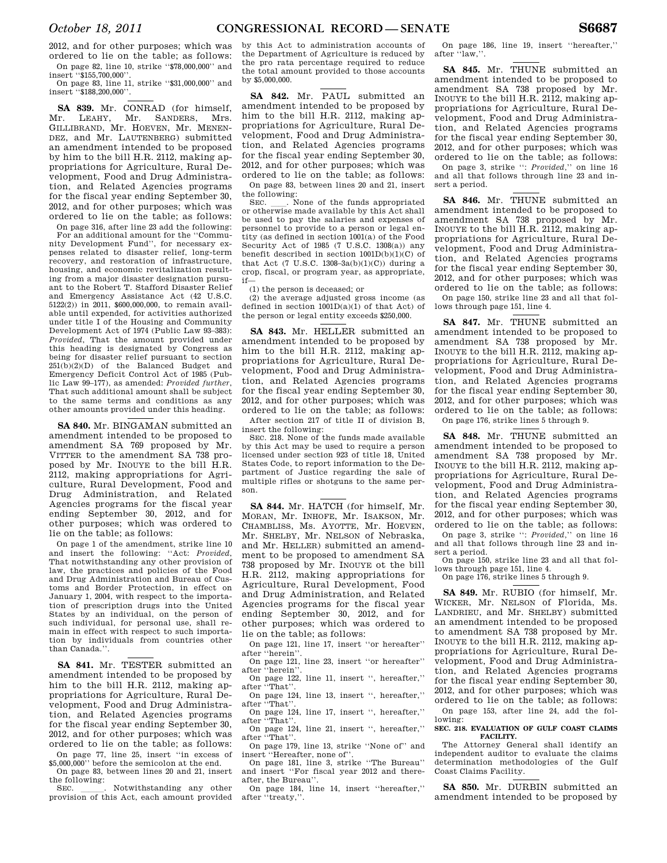2012, and for other purposes; which was ordered to lie on the table; as follows: On page 82, line 10, strike ''\$78,000,000'' and

insert ''\$155,700,000''. On page 83, line 11, strike ''\$31,000,000'' and insert ''\$188,200,000''.

**SA 839.** Mr. CONRAD (for himself, Mr. LEAHY, Mr. SANDERS, Mrs. GILLIBRAND, Mr. HOEVEN, Mr. MENEN-DEZ, and Mr. LAUTENBERG) submitted an amendment intended to be proposed by him to the bill H.R. 2112, making appropriations for Agriculture, Rural Development, Food and Drug Administration, and Related Agencies programs for the fiscal year ending September 30 2012, and for other purposes; which was ordered to lie on the table; as follows: On page 316, after line 23 add the following:

For an additional amount for the ''Community Development Fund'', for necessary expenses related to disaster relief, long-term recovery, and restoration of infrastructure, housing, and economic revitalization resulting from a major disaster designation pursuant to the Robert T. Stafford Disaster Relief and Emergency Assistance Act (42 U.S.C. 5122(2)) in 2011, \$600,000,000, to remain available until expended, for activities authorized under title I of the Housing and Community Development Act of 1974 (Public Law 93–383): *Provided*, That the amount provided under this heading is designated by Congress as being for disaster relief pursuant to section  $251(b)(2)(D)$  of the Balanced Budget and Emergency Deficit Control Act of 1985 (Public Law 99–177), as amended: *Provided further*, That such additional amount shall be subject to the same terms and conditions as any other amounts provided under this heading.

**SA 840.** Mr. BINGAMAN submitted an amendment intended to be proposed to amendment SA 769 proposed by Mr. VITTER to the amendment SA 738 proposed by Mr. INOUYE to the bill H.R. 2112, making appropriations for Agriculture, Rural Development, Food and Drug Administration, and Related Agencies programs for the fiscal year ending September 30, 2012, and for other purposes; which was ordered to lie on the table; as follows:

On page 1 of the amendment, strike line 10 and insert the following: ''Act: *Provided*, That notwithstanding any other provision of law, the practices and policies of the Food and Drug Administration and Bureau of Customs and Border Protection, in effect on January 1, 2004, with respect to the importation of prescription drugs into the United States by an individual, on the person of such individual, for personal use, shall remain in effect with respect to such importation by individuals from countries other than Canada.''.

**SA 841.** Mr. TESTER submitted an amendment intended to be proposed by him to the bill H.R. 2112, making appropriations for Agriculture, Rural Development, Food and Drug Administration, and Related Agencies programs for the fiscal year ending September 30, 2012, and for other purposes; which was ordered to lie on the table; as follows: On page 77, line 25, insert ''in excess of

\$5,000,000'' before the semicolon at the end. On page 83, between lines 20 and 21, insert

the following:<br>SEC. SEC.  $\qquad \qquad$  Notwithstanding any other provision of this Act, each amount provided

by this Act to administration accounts of the Department of Agriculture is reduced by the pro rata percentage required to reduce the total amount provided to those accounts by \$5,000,000.

**SA 842.** Mr. PAUL submitted an amendment intended to be proposed by him to the bill H.R. 2112, making appropriations for Agriculture, Rural Development, Food and Drug Administration, and Related Agencies programs for the fiscal year ending September 30, 2012, and for other purposes; which was ordered to lie on the table; as follows: On page 83, between lines 20 and 21, insert

the following:

SEC.  $\frac{1}{\sqrt{2}}$ . None of the funds appropriated or otherwise made available by this Act shall be used to pay the salaries and expenses of personnel to provide to a person or legal entity (as defined in section 1001(a) of the Food Security Act of 1985 (7 U.S.C. 1308(a)) any benefit described in section  $1001D(b)(1)(C)$  of that Act  $(7 \text{ U.S.C. } 1308-3a(b)(1)(C))$  during a crop, fiscal, or program year, as appropriate, if—

(1) the person is deceased; or

(2) the average adjusted gross income (as defined in section 1001D(a)(1) of that Act) of the person or legal entity exceeds \$250,000.

**SA 843.** Mr. HELLER submitted an amendment intended to be proposed by him to the bill H.R. 2112, making appropriations for Agriculture, Rural Development, Food and Drug Administration, and Related Agencies programs for the fiscal year ending September 30, 2012, and for other purposes; which was ordered to lie on the table; as follows:

After section 217 of title II of division B, insert the following:

SEC. 218. None of the funds made available by this Act may be used to require a person licensed under section 923 of title 18, United States Code, to report information to the Department of Justice regarding the sale of multiple rifles or shotguns to the same person.

**SA 844.** Mr. HATCH (for himself, Mr. MORAN, Mr. INHOFE, Mr. ISAKSON, Mr. CHAMBLISS, Ms. AYOTTE, Mr. HOEVEN, Mr. SHELBY, Mr. NELSON of Nebraska, and Mr. HELLER) submitted an amendment to be proposed to amendment SA 738 proposed by Mr. INOUYE ot the bill H.R. 2112, making appropriations for Agriculture, Rural Development, Food and Drug Administration, and Related Agencies programs for the fiscal year ending September 30, 2012, and for other purposes; which was ordered to lie on the table; as follows:

On page 121, line 17, insert ''or hereafter'' after ''herein''. On page 121, line 23, insert ''or hereafter''

after ''herein''. On page 122, line 11, insert '', hereafter,''

after ''That''. On page 124, line 13, insert '', hereafter,''

after ''That''. On page 124, line 17, insert '', hereafter,''

after ''That''. On page 124, line 21, insert '', hereafter,'' after ''That''.

On page 179, line 13, strike ''None of'' and insert ''Hereafter, none of''.

On page 181, line 3, strike ''The Bureau'' and insert ''For fiscal year 2012 and thereafter, the Bureau''.

On page 184, line 14, insert ''hereafter,'' after ''treaty,''.

On page 186, line 19, insert ''hereafter,'' after ''law,''.

**SA 845.** Mr. THUNE submitted an amendment intended to be proposed to amendment SA 738 proposed by Mr. INOUYE to the bill H.R. 2112, making appropriations for Agriculture, Rural Development, Food and Drug Administration, and Related Agencies programs for the fiscal year ending September 30, 2012, and for other purposes; which was ordered to lie on the table; as follows:

On page 3, strike '': *Provided,*'' on line 16 and all that follows through line 23 and insert a period.

**SA 846.** Mr. THUNE submitted an amendment intended to be proposed to amendment SA 738 proposed by Mr. INOUYE to the bill H.R. 2112, making appropriations for Agriculture, Rural Development, Food and Drug Administration, and Related Agencies programs for the fiscal year ending September 30, 2012, and for other purposes; which was ordered to lie on the table; as follows: On page 150, strike line 23 and all that fol-

lows through page 151, line 4.

**SA 847.** Mr. THUNE submitted an amendment intended to be proposed to amendment SA 738 proposed by Mr. INOUYE to the bill H.R. 2112, making appropriations for Agriculture, Rural Development, Food and Drug Administration, and Related Agencies programs for the fiscal year ending September 30, 2012, and for other purposes; which was ordered to lie on the table; as follows:

On page 176, strike lines 5 through 9.

**SA 848.** Mr. THUNE submitted an amendment intended to be proposed to amendment SA 738 proposed by Mr. INOUYE to the bill H.R. 2112, making appropriations for Agriculture, Rural Development, Food and Drug Administration, and Related Agencies programs for the fiscal year ending September 30, 2012, and for other purposes; which was ordered to lie on the table; as follows:

On page 3, strike '': *Provided,*'' on line 16 and all that follows through line 23 and insert a period.

On page 150, strike line 23 and all that follows through page 151, line 4.

On page 176, strike lines 5 through 9.

**SA 849.** Mr. RUBIO (for himself, Mr. WICKER, Mr. NELSON of Florida, Ms. LANDRIEU, and Mr. SHELBY) submitted an amendment intended to be proposed to amendment SA 738 proposed by Mr. INOUYE to the bill H.R. 2112, making appropriations for Agriculture, Rural Development, Food and Drug Administration, and Related Agencies programs for the fiscal year ending September 30, 2012, and for other purposes; which was ordered to lie on the table; as follows: On page 153, after line 24, add the following:

#### **SEC. 218. EVALUATION OF GULF COAST CLAIMS FACILITY.**

The Attorney General shall identify an independent auditor to evaluate the claims determination methodologies of the Gulf Coast Claims Facility.

**SA 850.** Mr. DURBIN submitted an amendment intended to be proposed by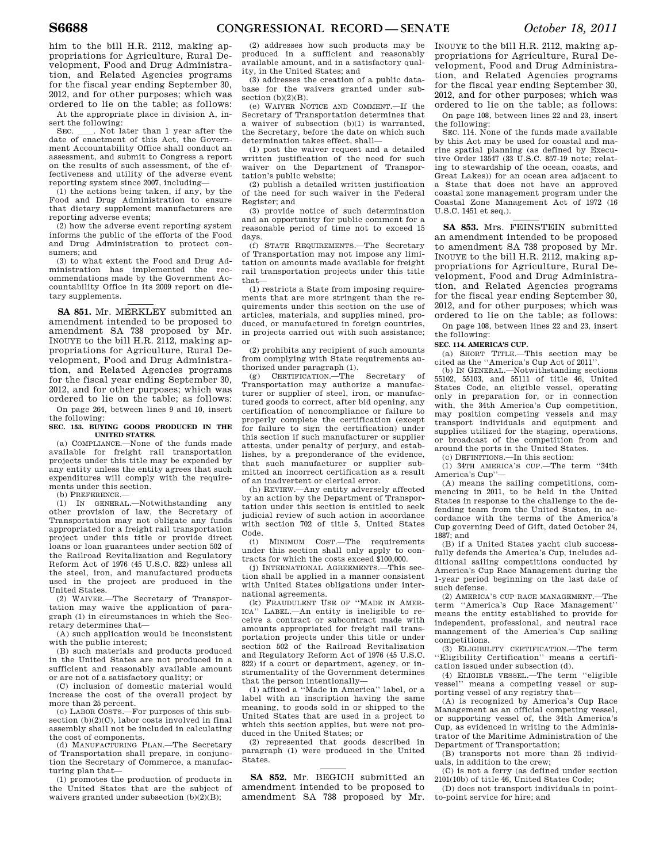2012, and for other purposes; which was ordered to lie on the table; as follows: At the appropriate place in division A, in-

sert the following:<br>SEC. \_\_\_. Not later than 1 year after the SEC.  $\quad$  Not later than 1 year after the date of enactment of this Act, the Government Accountability Office shall conduct an assessment, and submit to Congress a report on the results of such assessment, of the effectiveness and utility of the adverse event reporting system since 2007, including—

(1) the actions being taken, if any, by the Food and Drug Administration to ensure that dietary supplement manufacturers are reporting adverse events;

(2) how the adverse event reporting system informs the public of the efforts of the Food and Drug Administration to protect consumers; and

(3) to what extent the Food and Drug Administration has implemented the recommendations made by the Government Accountability Office in its 2009 report on dietary supplements.

**SA 851.** Mr. MERKLEY submitted an amendment intended to be proposed to amendment SA 738 proposed by Mr. INOUYE to the bill H.R. 2112, making appropriations for Agriculture, Rural Development, Food and Drug Administration, and Related Agencies programs for the fiscal year ending September 30, 2012, and for other purposes; which was ordered to lie on the table; as follows:

On page 264, between lines 9 and 10, insert the following:

#### **SEC. 153. BUYING GOODS PRODUCED IN THE UNITED STATES.**

(a) COMPLIANCE.—None of the funds made available for freight rail transportation projects under this title may be expended by any entity unless the entity agrees that such expenditures will comply with the requirements under this section.

(b) PREFERENCE.—

(1) IN GENERAL.—Notwithstanding any other provision of law, the Secretary of Transportation may not obligate any funds appropriated for a freight rail transportation project under this title or provide direct loans or loan guarantees under section 502 of the Railroad Revitalization and Regulatory Reform Act of 1976 (45 U.S.C. 822) unless all the steel, iron, and manufactured products used in the project are produced in the United States.

(2) WAIVER.—The Secretary of Transportation may waive the application of paragraph (1) in circumstances in which the Secretary determines that—

 $(A)$  such application would be inconsistent with the public interest;

(B) such materials and products produced in the United States are not produced in a sufficient and reasonably available amount or are not of a satisfactory quality; or

(C) inclusion of domestic material would increase the cost of the overall project by more than 25 percent.

(c) LABOR COSTS.—For purposes of this subsection (b)(2)(C), labor costs involved in final assembly shall not be included in calculating the cost of components.

(d) MANUFACTURING PLAN.—The Secretary of Transportation shall prepare, in conjunction the Secretary of Commerce, a manufacturing plan that—

(1) promotes the production of products in the United States that are the subject of waivers granted under subsection  $(b)(2)(B);$ 

(2) addresses how such products may be produced in a sufficient and reasonably available amount, and in a satisfactory quality, in the United States; and

(3) addresses the creation of a public database for the waivers granted under subsection  $(b)(2)(B)$ .

(e) WAIVER NOTICE AND COMMENT.—If the Secretary of Transportation determines that a waiver of subsection (b)(1) is warranted, the Secretary, before the date on which such determination takes effect, shall—

(1) post the waiver request and a detailed written justification of the need for such waiver on the Department of Transportation's public website;

(2) publish a detailed written justification of the need for such waiver in the Federal Register; and

(3) provide notice of such determination and an opportunity for public comment for a reasonable period of time not to exceed 15 days.

(f) STATE REQUIREMENTS.—The Secretary of Transportation may not impose any limitation on amounts made available for freight rail transportation projects under this title that—

(1) restricts a State from imposing requirements that are more stringent than the requirements under this section on the use of articles, materials, and supplies mined, produced, or manufactured in foreign countries, in projects carried out with such assistance; or

(2) prohibits any recipient of such amounts from complying with State requirements authorized under paragraph (1).

(g) CERTIFICATION.—The Secretary of Transportation may authorize a manufacturer or supplier of steel, iron, or manufactured goods to correct, after bid opening, any certification of noncompliance or failure to properly complete the certification (except for failure to sign the certification) under this section if such manufacturer or supplier attests, under penalty of perjury, and establishes, by a preponderance of the evidence, that such manufacturer or supplier submitted an incorrect certification as a result of an inadvertent or clerical error.

(h) REVIEW.—Any entity adversely affected by an action by the Department of Transportation under this section is entitled to seek judicial review of such action in accordance with section 702 of title 5, United States Code.

(i) MINIMUM COST.—The requirements under this section shall only apply to contracts for which the costs exceed \$100,000.

(j) INTERNATIONAL AGREEMENTS.—This section shall be applied in a manner consistent with United States obligations under international agreements.

(k) FRAUDULENT USE OF "MADE IN AMERICA" LAREL — An entity is ineligible to re-LABEL.—An entity is ineligible to receive a contract or subcontract made with amounts appropriated for freight rail transportation projects under this title or under section 502 of the Railroad Revitalization and Regulatory Reform Act of 1976 (45 U.S.C. 822) if a court or department, agency, or instrumentality of the Government determines that the person intentionally—

(1) affixed a ''Made in America'' label, or a label with an inscription having the same meaning, to goods sold in or shipped to the United States that are used in a project to which this section applies, but were not produced in the United States; or

(2) represented that goods described in paragraph (1) were produced in the United **States**.

**SA 852.** Mr. BEGICH submitted an amendment intended to be proposed to amendment SA 738 proposed by Mr.

INOUYE to the bill H.R. 2112, making appropriations for Agriculture, Rural Development, Food and Drug Administration, and Related Agencies programs for the fiscal year ending September 30, 2012, and for other purposes; which was ordered to lie on the table; as follows:

On page 108, between lines 22 and 23, insert the following:

SEC. 114. None of the funds made available by this Act may be used for coastal and marine spatial planning (as defined by Executive Order 13547 (33 U.S.C. 857-19 note; relating to stewardship of the ocean, coasts, and Great Lakes)) for an ocean area adjacent to a State that does not have an approved coastal zone management program under the Coastal Zone Management Act of 1972 (16 U.S.C. 1451 et seq.).

**SA 853.** Mrs. FEINSTEIN submitted an amendment intended to be proposed to amendment SA 738 proposed by Mr. INOUYE to the bill H.R. 2112, making appropriations for Agriculture, Rural Development, Food and Drug Administration, and Related Agencies programs for the fiscal year ending September 30, 2012, and for other purposes; which was ordered to lie on the table; as follows:

On page 108, between lines 22 and 23, insert the following:

#### **SEC. 114. AMERICA'S CUP.**

(a) SHORT TITLE.—This section may be cited as the ''America's Cup Act of 2011''.

(b) IN GENERAL.—Notwithstanding sections 55102, 55103, and 55111 of title 46, United States Code, an eligible vessel, operating only in preparation for, or in connection with, the 34th America's Cup competition, may position competing vessels and may transport individuals and equipment and supplies utilized for the staging, operations, or broadcast of the competition from and around the ports in the United States.

(c) DEFINITIONS.—In this section:

(1) 34TH AMERICA'S CUP.—The term ''34th America's Cup''—

(A) means the sailing competitions, commencing in 2011, to be held in the United States in response to the challenge to the defending team from the United States, in accordance with the terms of the America's Cup governing Deed of Gift, dated October 24, 1887; and

(B) if a United States yacht club successfully defends the America's Cup, includes additional sailing competitions conducted by America's Cup Race Management during the 1-year period beginning on the last date of such defense.

(2) AMERICA'S CUP RACE MANAGEMENT.—The term ''America's Cup Race Management'' means the entity established to provide for independent, professional, and neutral race management of the America's Cup sailing competitions.

(3) ELIGIBILITY CERTIFICATION.—The term ''Eligibility Certification'' means a certification issued under subsection (d).

(4) ELIGIBLE VESSEL.—The term ''eligible vessel'' means a competing vessel or supporting vessel of any registry that—

(A) is recognized by America's Cup Race Management as an official competing vessel, or supporting vessel of, the 34th America's Cup, as evidenced in writing to the Administrator of the Maritime Administration of the Department of Transportation;

(B) transports not more than 25 individuals, in addition to the crew;

(C) is not a ferry (as defined under section 2101(10b) of title 46, United States Code;

(D) does not transport individuals in pointto-point service for hire; and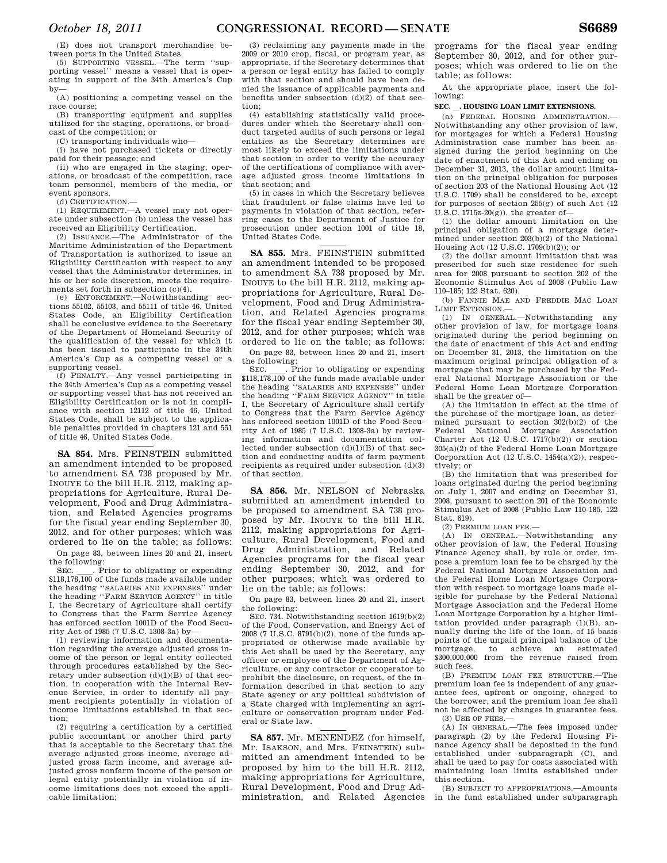(E) does not transport merchandise between ports in the United States.

(5) SUPPORTING VESSEL.—The term ''supporting vessel'' means a vessel that is operating in support of the 34th America's Cup by—

(A) positioning a competing vessel on the race course;

(B) transporting equipment and supplies utilized for the staging, operations, or broadcast of the competition; or

(C) transporting individuals who—

(i) have not purchased tickets or directly paid for their passage; and

(ii) who are engaged in the staging, operations, or broadcast of the competition, race team personnel, members of the media, or event sponsors.

(d) CERTIFICATION.—

(1) REQUIREMENT.—A vessel may not operate under subsection (b) unless the vessel has received an Eligibility Certification.

(2) ISSUANCE.—The Administrator of the Maritime Administration of the Department of Transportation is authorized to issue an Eligibility Certification with respect to any vessel that the Administrator determines, in his or her sole discretion, meets the requirements set forth in subsection (c)(4).

 $(e)$  ENFORCEMENT  $-N$ otwithstanding sections 55102, 55103, and 55111 of title 46, United States Code, an Eligibility Certification shall be conclusive evidence to the Secretary of the Department of Homeland Security of the qualification of the vessel for which it has been issued to participate in the 34th America's Cup as a competing vessel or a supporting vessel.

(f) PENALTY.—Any vessel participating in the 34th America's Cup as a competing vessel or supporting vessel that has not received an Eligibility Certification or is not in compliance with section 12112 of title 46, United States Code, shall be subject to the applicable penalties provided in chapters 121 and 551 of title 46, United States Code.

**SA 854.** Mrs. FEINSTEIN submitted an amendment intended to be proposed to amendment SA 738 proposed by Mr. INOUYE to the bill H.R. 2112, making appropriations for Agriculture, Rural Development, Food and Drug Administration, and Related Agencies programs for the fiscal year ending September 30, 2012, and for other purposes; which was ordered to lie on the table; as follows:

On page 83, between lines 20 and 21, insert the following:<br>SEC. Frior to obligating or expending

SEC. Let I Prior to obligating or expending \$118,178,100 of the funds made available under the heading ''SALARIES AND EXPENSES'' under the heading ''FARM SERVICE AGENCY'' in title I, the Secretary of Agriculture shall certify to Congress that the Farm Service Agency has enforced section 1001D of the Food Security Act of 1985 (7 U.S.C. 1308-3a) by—

(1) reviewing information and documentation regarding the average adjusted gross income of the person or legal entity collected through procedures established by the Secretary under subsection (d)(1)(B) of that section, in cooperation with the Internal Revenue Service, in order to identify all payment recipients potentially in violation of income limitations established in that section;

(2) requiring a certification by a certified public accountant or another third party that is acceptable to the Secretary that the average adjusted gross income, average adjusted gross farm income, and average adjusted gross nonfarm income of the person or legal entity potentially in violation of income limitations does not exceed the applicable limitation;

(3) reclaiming any payments made in the 2009 or 2010 crop, fiscal, or program year, as appropriate, if the Secretary determines that a person or legal entity has failed to comply with that section and should have been denied the issuance of applicable payments and benefits under subsection  $(d)(2)$  of that section;

(4) establishing statistically valid procedures under which the Secretary shall conduct targeted audits of such persons or legal entities as the Secretary determines are most likely to exceed the limitations under that section in order to verify the accuracy of the certifications of compliance with average adjusted gross income limitations in that section; and

(5) in cases in which the Secretary believes that fraudulent or false claims have led to payments in violation of that section, referring cases to the Department of Justice for prosecution under section 1001 of title 18, United States Code.

**SA 855.** Mrs. FEINSTEIN submitted an amendment intended to be proposed to amendment SA 738 proposed by Mr. INOUYE to the bill H.R. 2112, making appropriations for Agriculture, Rural Development, Food and Drug Administration, and Related Agencies programs for the fiscal year ending September 30, 2012, and for other purposes; which was ordered to lie on the table; as follows:

On page 83, between lines 20 and 21, insert the following:<br>SEC. Frior to obligating or expending

SEC. Let I Prior to obligating or expending \$118,178,100 of the funds made available under the heading ''SALARIES AND EXPENSES'' under the heading ''FARM SERVICE AGENCY'' in title I, the Secretary of Agriculture shall certify to Congress that the Farm Service Agency has enforced section 1001D of the Food Security Act of 1985 (7 U.S.C. 1308-3a) by reviewing information and documentation collected under subsection (d)(1)(B) of that section and conducting audits of farm payment recipients as required under subsection (d)(3) of that section.

**SA 856.** Mr. NELSON of Nebraska submitted an amendment intended to be proposed to amendment SA 738 proposed by Mr. INOUYE to the bill H.R. 2112, making appropriations for Agriculture, Rural Development, Food and Drug Administration, and Related Agencies programs for the fiscal year ending September 30, 2012, and for other purposes; which was ordered to lie on the table; as follows:

On page 83, between lines 20 and 21, insert the following:

SEC. 734. Notwithstanding section 1619(b)(2) of the Food, Conservation, and Energy Act of 2008 (7 U.S.C. 8791(b)(2), none of the funds appropriated or otherwise made available by this Act shall be used by the Secretary, any officer or employee of the Department of Agriculture, or any contractor or cooperator to prohibit the disclosure, on request, of the information described in that section to any State agency or any political subdivision of a State charged with implementing an agriculture or conservation program under Federal or State law.

**SA 857.** Mr. MENENDEZ (for himself, Mr. ISAKSON, and Mrs. FEINSTEIN) submitted an amendment intended to be proposed by him to the bill H.R. 2112, making appropriations for Agriculture, Rural Development, Food and Drug Administration, and Related Agencies programs for the fiscal year ending September 30, 2012, and for other purposes; which was ordered to lie on the table; as follows:

At the appropriate place, insert the following:

## **SEC.** l**. HOUSING LOAN LIMIT EXTENSIONS.**

(a) FEDERAL HOUSING ADMINISTRATION.— Notwithstanding any other provision of law, for mortgages for which a Federal Housing Administration case number has been assigned during the period beginning on the date of enactment of this Act and ending on December 31, 2013, the dollar amount limitation on the principal obligation for purposes of section 203 of the National Housing Act (12 U.S.C. 1709) shall be considered to be, except for purposes of section 255(g) of such Act (12 U.S.C. 1715 $z$ -20 $(g)$ ), the greater of-

(1) the dollar amount limitation on the principal obligation of a mortgage determined under section 203(b)(2) of the National Housing Act (12 U.S.C. 1709(b)(2)); or

(2) the dollar amount limitation that was prescribed for such size residence for such area for 2008 pursuant to section 202 of the Economic Stimulus Act of 2008 (Public Law 110–185; 122 Stat. 620).

(b) FANNIE MAE AND FREDDIE MAC LOAN LIMIT EXTENSION.—

(1) IN GENERAL.—Notwithstanding any other provision of law, for mortgage loans originated during the period beginning on the date of enactment of this Act and ending on December 31, 2013, the limitation on the maximum original principal obligation of a mortgage that may be purchased by the Federal National Mortgage Association or the Federal Home Loan Mortgage Corporation shall be the greater of—

(A) the limitation in effect at the time of the purchase of the mortgage loan, as determined pursuant to section 302(b)(2) of the Federal National Mortgage Association Charter Act  $(12 \text{ U.S.C. } 1717(b)(2))$  or section 305(a)(2) of the Federal Home Loan Mortgage Corporation Act (12 U.S.C. 1454(a)(2)), respectively; or

(B) the limitation that was prescribed for loans originated during the period beginning on July 1, 2007 and ending on December 31, 2008, pursuant to section 201 of the Economic Stimulus Act of 2008 (Public Law 110-185, 122 Stat. 619).

(2) PREMIUM LOAN FEE.—

(A) IN GENERAL.—Notwithstanding any other provision of law, the Federal Housing Finance Agency shall, by rule or order, impose a premium loan fee to be charged by the Federal National Mortgage Association and the Federal Home Loan Mortgage Corporation with respect to mortgage loans made eligible for purchase by the Federal National Mortgage Association and the Federal Home Loan Mortgage Corporation by a higher limitation provided under paragraph (1)(B), annually during the life of the loan, of 15 basis points of the unpaid principal balance of the mortgage, to achieve an estimated \$300,000,000 from the revenue raised from such fees.

(B) PREMIUM LOAN FEE STRUCTURE.—The premium loan fee is independent of any guarantee fees, upfront or ongoing, charged to the borrower, and the premium loan fee shall not be affected by changes in guarantee fees. (3) USE OF FEES.—

(A) IN GENERAL.—The fees imposed under paragraph (2) by the Federal Housing Finance Agency shall be deposited in the fund established under subparagraph (C), and shall be used to pay for costs associated with maintaining loan limits established under this section.

(B) SUBJECT TO APPROPRIATIONS.—Amounts in the fund established under subparagraph